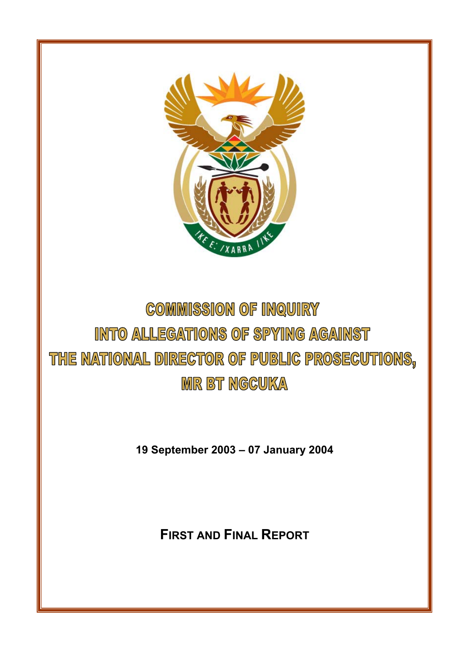

# **COMMISSION OF INQUIRY** INTO ALLEGATIONS OF SPYING AGAINST THE NATIONAL DIRECTOR OF PUBLIC PROSECUTIONS, **MR BT NGGUKA**

**19 September 2003 – 07 January 2004** 

**FIRST AND FINAL REPORT**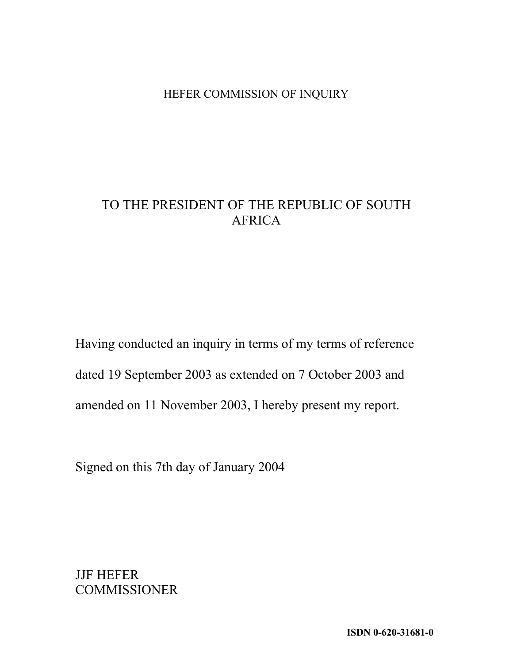## HEFER COMMISSION OF INQUIRY

## TO THE PRESIDENT OF THE REPUBLIC OF SOUTH AFRICA

Having conducted an inquiry in terms of my terms of reference dated 19 September 2003 as extended on 7 October 2003 and amended on 11 November 2003, I hereby present my report.

Signed on this 7th day of January 2004

JJF HEFER COMMISSIONER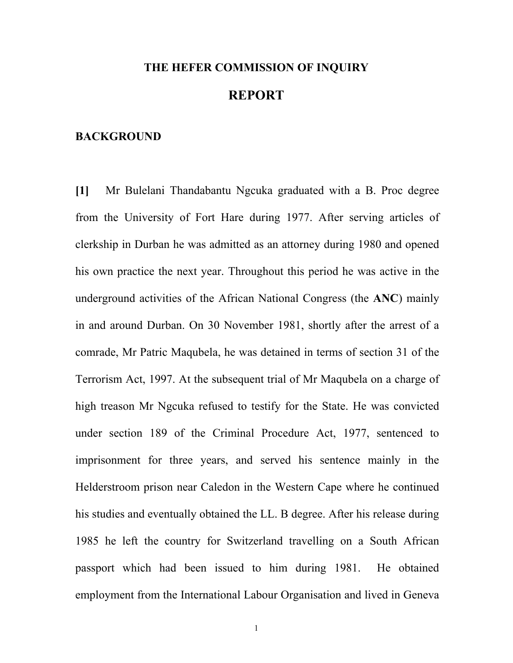## **THE HEFER COMMISSION OF INQUIRY REPORT**

#### **BACKGROUND**

**[1]** Mr Bulelani Thandabantu Ngcuka graduated with a B. Proc degree from the University of Fort Hare during 1977. After serving articles of clerkship in Durban he was admitted as an attorney during 1980 and opened his own practice the next year. Throughout this period he was active in the underground activities of the African National Congress (the **ANC**) mainly in and around Durban. On 30 November 1981, shortly after the arrest of a comrade, Mr Patric Maqubela, he was detained in terms of section 31 of the Terrorism Act, 1997. At the subsequent trial of Mr Maqubela on a charge of high treason Mr Ngcuka refused to testify for the State. He was convicted under section 189 of the Criminal Procedure Act, 1977, sentenced to imprisonment for three years, and served his sentence mainly in the Helderstroom prison near Caledon in the Western Cape where he continued his studies and eventually obtained the LL. B degree. After his release during 1985 he left the country for Switzerland travelling on a South African passport which had been issued to him during 1981. He obtained employment from the International Labour Organisation and lived in Geneva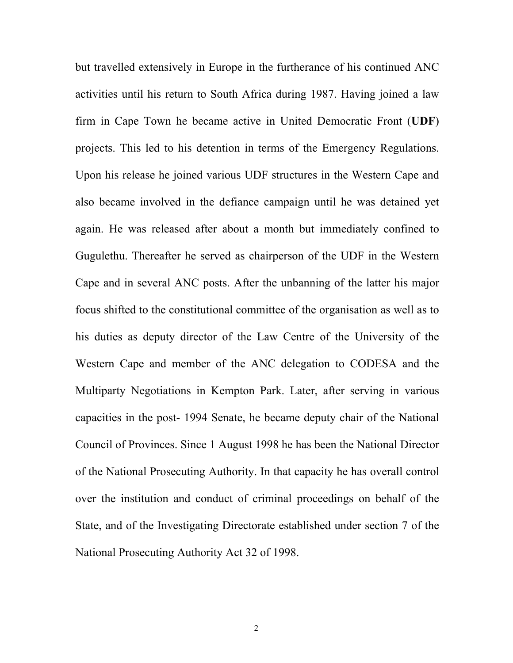but travelled extensively in Europe in the furtherance of his continued ANC activities until his return to South Africa during 1987. Having joined a law firm in Cape Town he became active in United Democratic Front (**UDF**) projects. This led to his detention in terms of the Emergency Regulations. Upon his release he joined various UDF structures in the Western Cape and also became involved in the defiance campaign until he was detained yet again. He was released after about a month but immediately confined to Gugulethu. Thereafter he served as chairperson of the UDF in the Western Cape and in several ANC posts. After the unbanning of the latter his major focus shifted to the constitutional committee of the organisation as well as to his duties as deputy director of the Law Centre of the University of the Western Cape and member of the ANC delegation to CODESA and the Multiparty Negotiations in Kempton Park. Later, after serving in various capacities in the post- 1994 Senate, he became deputy chair of the National Council of Provinces. Since 1 August 1998 he has been the National Director of the National Prosecuting Authority. In that capacity he has overall control over the institution and conduct of criminal proceedings on behalf of the State, and of the Investigating Directorate established under section 7 of the National Prosecuting Authority Act 32 of 1998.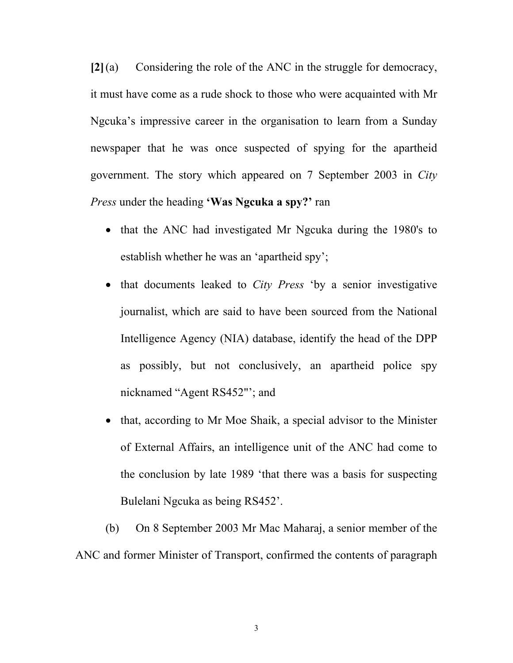**[2]**(a) Considering the role of the ANC in the struggle for democracy, it must have come as a rude shock to those who were acquainted with Mr Ngcuka's impressive career in the organisation to learn from a Sunday newspaper that he was once suspected of spying for the apartheid government. The story which appeared on 7 September 2003 in *City Press* under the heading **'Was Ngcuka a spy?'** ran

- that the ANC had investigated Mr Ngcuka during the 1980's to establish whether he was an 'apartheid spy';
- that documents leaked to *City Press* 'by a senior investigative journalist, which are said to have been sourced from the National Intelligence Agency (NIA) database, identify the head of the DPP as possibly, but not conclusively, an apartheid police spy nicknamed "Agent RS452"'; and
- that, according to Mr Moe Shaik, a special advisor to the Minister of External Affairs, an intelligence unit of the ANC had come to the conclusion by late 1989 'that there was a basis for suspecting Bulelani Ngcuka as being RS452'.

(b) On 8 September 2003 Mr Mac Maharaj, a senior member of the ANC and former Minister of Transport, confirmed the contents of paragraph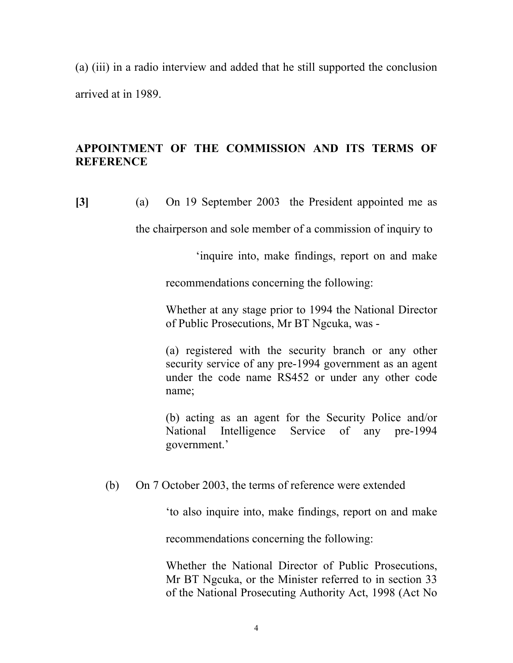(a) (iii) in a radio interview and added that he still supported the conclusion arrived at in 1989.

## **APPOINTMENT OF THE COMMISSION AND ITS TERMS OF REFERENCE**

**[3]** (a) On 19 September 2003 the President appointed me as

the chairperson and sole member of a commission of inquiry to

'inquire into, make findings, report on and make

recommendations concerning the following:

Whether at any stage prior to 1994 the National Director of Public Prosecutions, Mr BT Ngcuka, was -

(a) registered with the security branch or any other security service of any pre-1994 government as an agent under the code name RS452 or under any other code name;

(b) acting as an agent for the Security Police and/or National Intelligence Service of any pre-1994 government.'

## (b) On 7 October 2003, the terms of reference were extended

'to also inquire into, make findings, report on and make

recommendations concerning the following:

Whether the National Director of Public Prosecutions, Mr BT Ngcuka, or the Minister referred to in section 33 of the National Prosecuting Authority Act, 1998 (Act No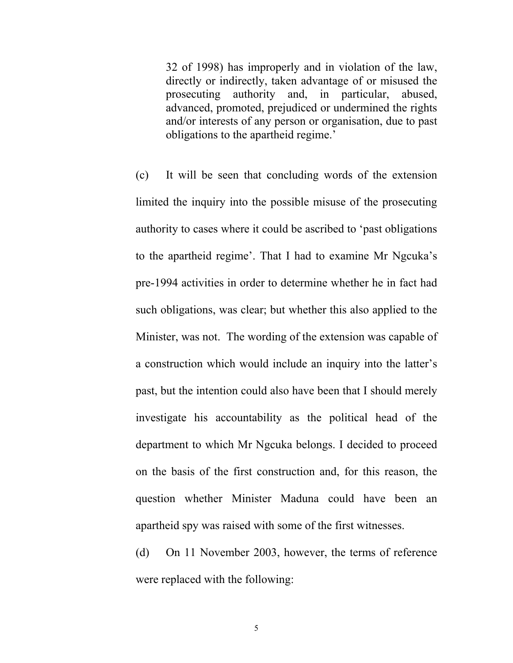32 of 1998) has improperly and in violation of the law, directly or indirectly, taken advantage of or misused the prosecuting authority and, in particular, abused, advanced, promoted, prejudiced or undermined the rights and/or interests of any person or organisation, due to past obligations to the apartheid regime.'

(c) It will be seen that concluding words of the extension limited the inquiry into the possible misuse of the prosecuting authority to cases where it could be ascribed to 'past obligations to the apartheid regime'. That I had to examine Mr Ngcuka's pre-1994 activities in order to determine whether he in fact had such obligations, was clear; but whether this also applied to the Minister, was not. The wording of the extension was capable of a construction which would include an inquiry into the latter's past, but the intention could also have been that I should merely investigate his accountability as the political head of the department to which Mr Ngcuka belongs. I decided to proceed on the basis of the first construction and, for this reason, the question whether Minister Maduna could have been an apartheid spy was raised with some of the first witnesses.

(d) On 11 November 2003, however, the terms of reference were replaced with the following: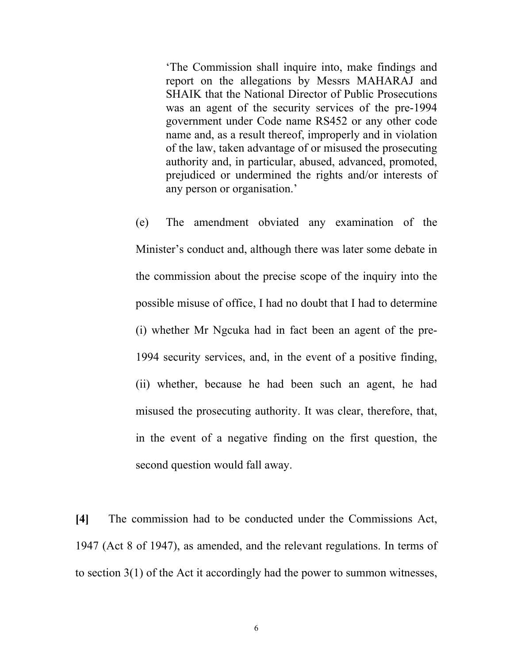'The Commission shall inquire into, make findings and report on the allegations by Messrs MAHARAJ and SHAIK that the National Director of Public Prosecutions was an agent of the security services of the pre-1994 government under Code name RS452 or any other code name and, as a result thereof, improperly and in violation of the law, taken advantage of or misused the prosecuting authority and, in particular, abused, advanced, promoted, prejudiced or undermined the rights and/or interests of any person or organisation.'

(e) The amendment obviated any examination of the Minister's conduct and, although there was later some debate in the commission about the precise scope of the inquiry into the possible misuse of office, I had no doubt that I had to determine (i) whether Mr Ngcuka had in fact been an agent of the pre-1994 security services, and, in the event of a positive finding, (ii) whether, because he had been such an agent, he had misused the prosecuting authority. It was clear, therefore, that, in the event of a negative finding on the first question, the second question would fall away.

**[4]** The commission had to be conducted under the Commissions Act, 1947 (Act 8 of 1947), as amended, and the relevant regulations. In terms of to section 3(1) of the Act it accordingly had the power to summon witnesses,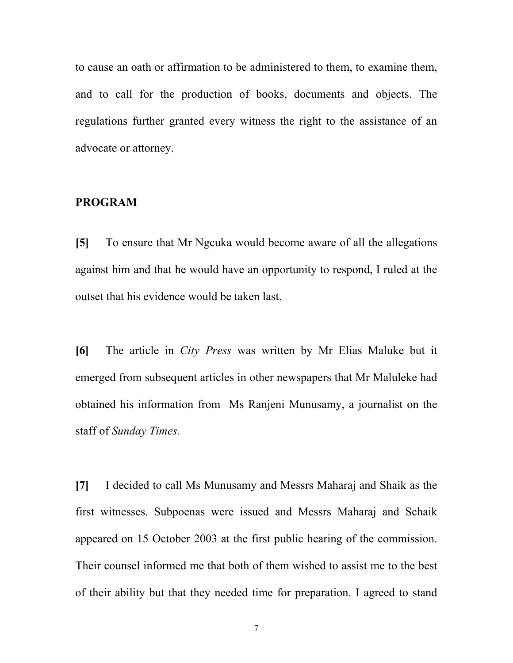to cause an oath or affirmation to be administered to them, to examine them, and to call for the production of books, documents and objects. The regulations further granted every witness the right to the assistance of an advocate or attorney.

#### **PROGRAM**

**[5]** To ensure that Mr Ngcuka would become aware of all the allegations against him and that he would have an opportunity to respond, I ruled at the outset that his evidence would be taken last.

**[6]** The article in *City Press* was written by Mr Elias Maluke but it emerged from subsequent articles in other newspapers that Mr Maluleke had obtained his information from Ms Ranjeni Munusamy, a journalist on the staff of *Sunday Times.*

**[7]** I decided to call Ms Munusamy and Messrs Maharaj and Shaik as the first witnesses. Subpoenas were issued and Messrs Maharaj and Schaik appeared on 15 October 2003 at the first public hearing of the commission. Their counsel informed me that both of them wished to assist me to the best of their ability but that they needed time for preparation. I agreed to stand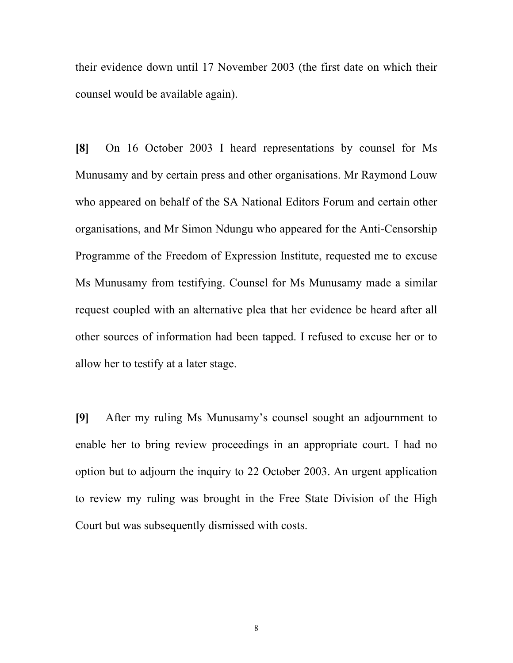their evidence down until 17 November 2003 (the first date on which their counsel would be available again).

**[8]** On 16 October 2003 I heard representations by counsel for Ms Munusamy and by certain press and other organisations. Mr Raymond Louw who appeared on behalf of the SA National Editors Forum and certain other organisations, and Mr Simon Ndungu who appeared for the Anti-Censorship Programme of the Freedom of Expression Institute, requested me to excuse Ms Munusamy from testifying. Counsel for Ms Munusamy made a similar request coupled with an alternative plea that her evidence be heard after all other sources of information had been tapped. I refused to excuse her or to allow her to testify at a later stage.

**[9]** After my ruling Ms Munusamy's counsel sought an adjournment to enable her to bring review proceedings in an appropriate court. I had no option but to adjourn the inquiry to 22 October 2003. An urgent application to review my ruling was brought in the Free State Division of the High Court but was subsequently dismissed with costs.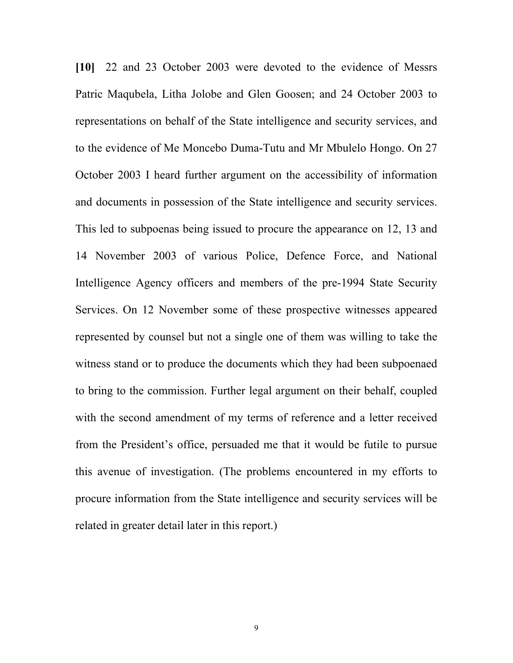**[10]** 22 and 23 October 2003 were devoted to the evidence of Messrs Patric Maqubela, Litha Jolobe and Glen Goosen; and 24 October 2003 to representations on behalf of the State intelligence and security services, and to the evidence of Me Moncebo Duma-Tutu and Mr Mbulelo Hongo. On 27 October 2003 I heard further argument on the accessibility of information and documents in possession of the State intelligence and security services. This led to subpoenas being issued to procure the appearance on 12, 13 and 14 November 2003 of various Police, Defence Force, and National Intelligence Agency officers and members of the pre-1994 State Security Services. On 12 November some of these prospective witnesses appeared represented by counsel but not a single one of them was willing to take the witness stand or to produce the documents which they had been subpoenaed to bring to the commission. Further legal argument on their behalf, coupled with the second amendment of my terms of reference and a letter received from the President's office, persuaded me that it would be futile to pursue this avenue of investigation. (The problems encountered in my efforts to procure information from the State intelligence and security services will be related in greater detail later in this report.)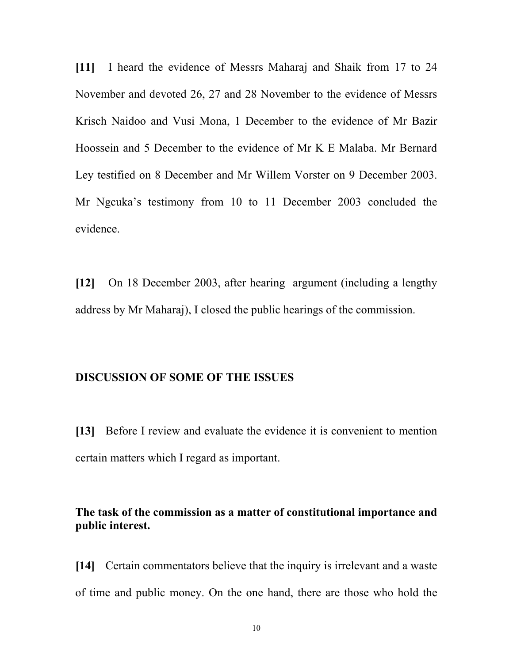**[11]** I heard the evidence of Messrs Maharaj and Shaik from 17 to 24 November and devoted 26, 27 and 28 November to the evidence of Messrs Krisch Naidoo and Vusi Mona, 1 December to the evidence of Mr Bazir Hoossein and 5 December to the evidence of Mr K E Malaba. Mr Bernard Ley testified on 8 December and Mr Willem Vorster on 9 December 2003. Mr Ngcuka's testimony from 10 to 11 December 2003 concluded the evidence.

**[12]** On 18 December 2003, after hearing argument (including a lengthy address by Mr Maharaj), I closed the public hearings of the commission.

## **DISCUSSION OF SOME OF THE ISSUES**

**[13]** Before I review and evaluate the evidence it is convenient to mention certain matters which I regard as important.

## **The task of the commission as a matter of constitutional importance and public interest.**

**[14]** Certain commentators believe that the inquiry is irrelevant and a waste of time and public money. On the one hand, there are those who hold the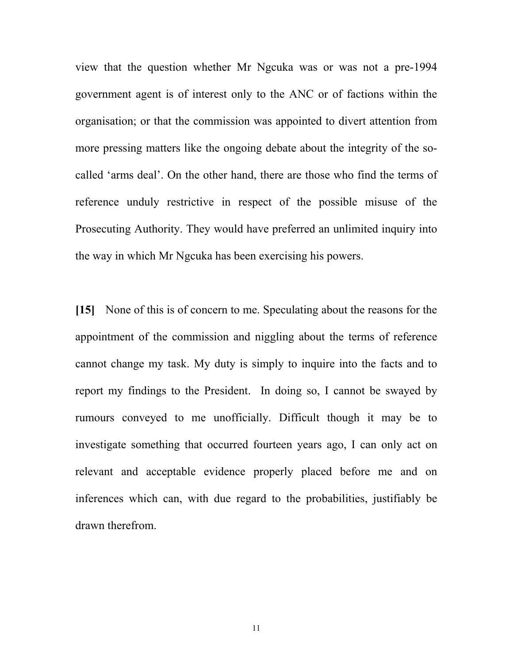view that the question whether Mr Ngcuka was or was not a pre-1994 government agent is of interest only to the ANC or of factions within the organisation; or that the commission was appointed to divert attention from more pressing matters like the ongoing debate about the integrity of the socalled 'arms deal'. On the other hand, there are those who find the terms of reference unduly restrictive in respect of the possible misuse of the Prosecuting Authority. They would have preferred an unlimited inquiry into the way in which Mr Ngcuka has been exercising his powers.

**[15]** None of this is of concern to me. Speculating about the reasons for the appointment of the commission and niggling about the terms of reference cannot change my task. My duty is simply to inquire into the facts and to report my findings to the President. In doing so, I cannot be swayed by rumours conveyed to me unofficially. Difficult though it may be to investigate something that occurred fourteen years ago, I can only act on relevant and acceptable evidence properly placed before me and on inferences which can, with due regard to the probabilities, justifiably be drawn therefrom.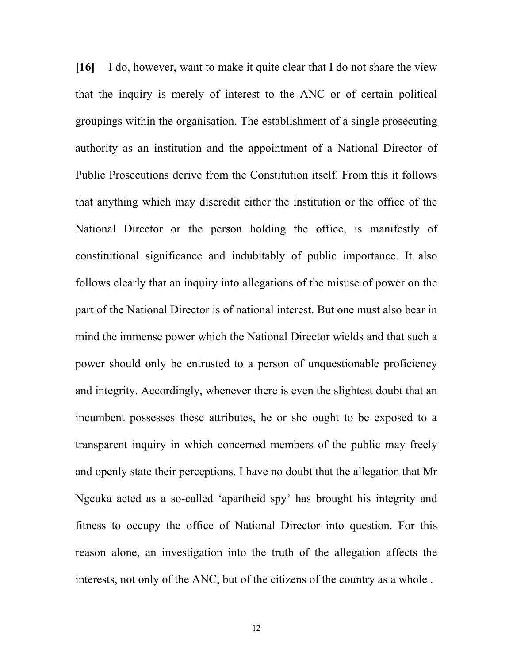**[16]** I do, however, want to make it quite clear that I do not share the view that the inquiry is merely of interest to the ANC or of certain political groupings within the organisation. The establishment of a single prosecuting authority as an institution and the appointment of a National Director of Public Prosecutions derive from the Constitution itself. From this it follows that anything which may discredit either the institution or the office of the National Director or the person holding the office, is manifestly of constitutional significance and indubitably of public importance. It also follows clearly that an inquiry into allegations of the misuse of power on the part of the National Director is of national interest. But one must also bear in mind the immense power which the National Director wields and that such a power should only be entrusted to a person of unquestionable proficiency and integrity. Accordingly, whenever there is even the slightest doubt that an incumbent possesses these attributes, he or she ought to be exposed to a transparent inquiry in which concerned members of the public may freely and openly state their perceptions. I have no doubt that the allegation that Mr Ngcuka acted as a so-called 'apartheid spy' has brought his integrity and fitness to occupy the office of National Director into question. For this reason alone, an investigation into the truth of the allegation affects the interests, not only of the ANC, but of the citizens of the country as a whole .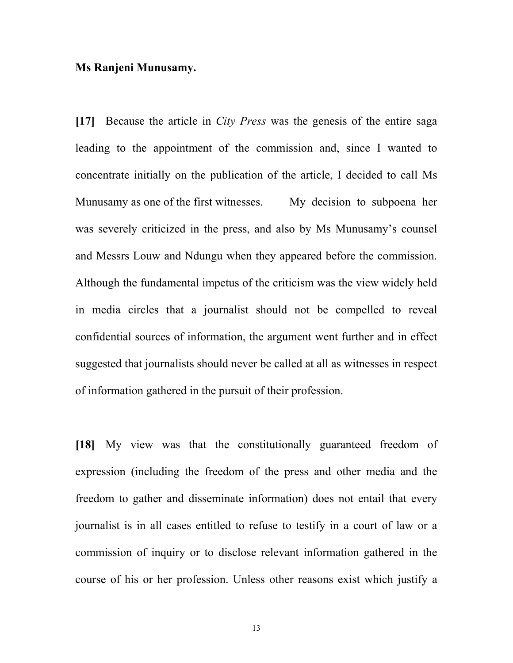#### **Ms Ranjeni Munusamy.**

**[17]** Because the article in *City Press* was the genesis of the entire saga leading to the appointment of the commission and, since I wanted to concentrate initially on the publication of the article, I decided to call Ms Munusamy as one of the first witnesses.My decision to subpoena her was severely criticized in the press, and also by Ms Munusamy's counsel and Messrs Louw and Ndungu when they appeared before the commission. Although the fundamental impetus of the criticism was the view widely held in media circles that a journalist should not be compelled to reveal confidential sources of information, the argument went further and in effect suggested that journalists should never be called at all as witnesses in respect of information gathered in the pursuit of their profession.

**[18]** My view was that the constitutionally guaranteed freedom of expression (including the freedom of the press and other media and the freedom to gather and disseminate information) does not entail that every journalist is in all cases entitled to refuse to testify in a court of law or a commission of inquiry or to disclose relevant information gathered in the course of his or her profession. Unless other reasons exist which justify a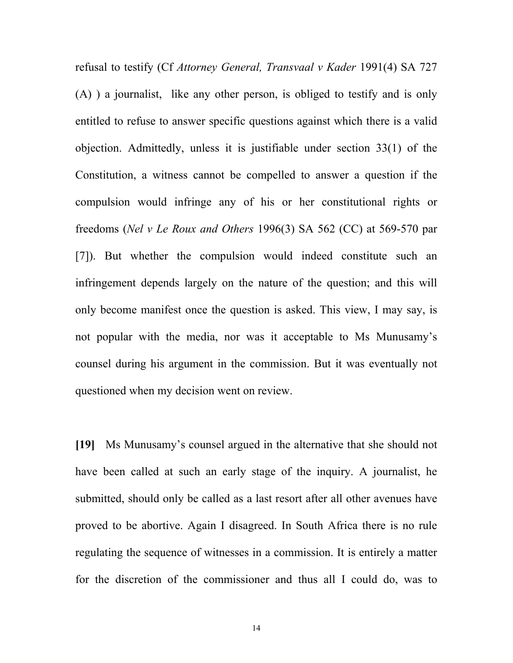refusal to testify (Cf *Attorney General, Transvaal v Kader* 1991(4) SA 727 (A) ) a journalist, like any other person, is obliged to testify and is only entitled to refuse to answer specific questions against which there is a valid objection. Admittedly, unless it is justifiable under section 33(1) of the Constitution, a witness cannot be compelled to answer a question if the compulsion would infringe any of his or her constitutional rights or freedoms (*Nel v Le Roux and Others* 1996(3) SA 562 (CC) at 569-570 par [7]). But whether the compulsion would indeed constitute such an infringement depends largely on the nature of the question; and this will only become manifest once the question is asked. This view, I may say, is not popular with the media, nor was it acceptable to Ms Munusamy's counsel during his argument in the commission. But it was eventually not questioned when my decision went on review.

**[19]** Ms Munusamy's counsel argued in the alternative that she should not have been called at such an early stage of the inquiry. A journalist, he submitted, should only be called as a last resort after all other avenues have proved to be abortive. Again I disagreed. In South Africa there is no rule regulating the sequence of witnesses in a commission. It is entirely a matter for the discretion of the commissioner and thus all I could do, was to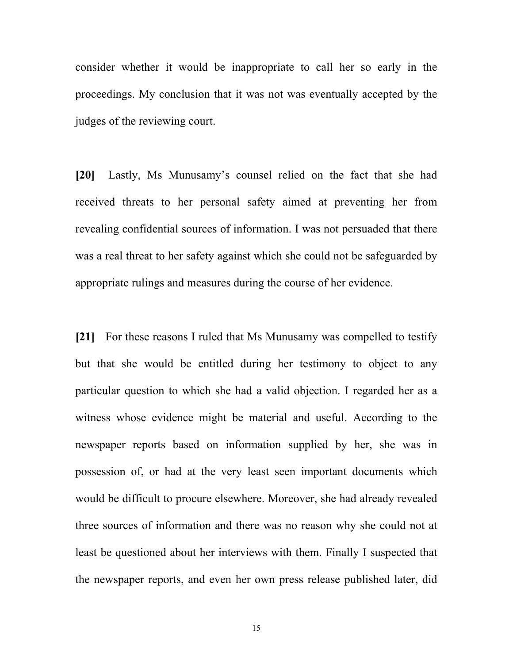consider whether it would be inappropriate to call her so early in the proceedings. My conclusion that it was not was eventually accepted by the judges of the reviewing court.

**[20]** Lastly, Ms Munusamy's counsel relied on the fact that she had received threats to her personal safety aimed at preventing her from revealing confidential sources of information. I was not persuaded that there was a real threat to her safety against which she could not be safeguarded by appropriate rulings and measures during the course of her evidence.

**[21]** For these reasons I ruled that Ms Munusamy was compelled to testify but that she would be entitled during her testimony to object to any particular question to which she had a valid objection. I regarded her as a witness whose evidence might be material and useful. According to the newspaper reports based on information supplied by her, she was in possession of, or had at the very least seen important documents which would be difficult to procure elsewhere. Moreover, she had already revealed three sources of information and there was no reason why she could not at least be questioned about her interviews with them. Finally I suspected that the newspaper reports, and even her own press release published later, did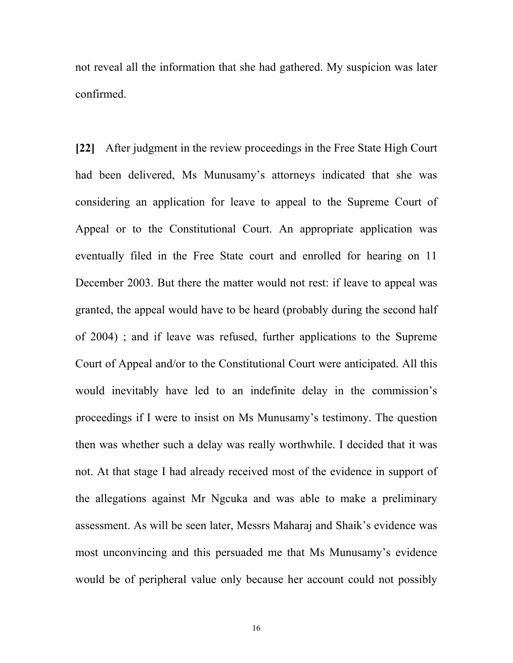not reveal all the information that she had gathered. My suspicion was later confirmed.

**[22]** After judgment in the review proceedings in the Free State High Court had been delivered, Ms Munusamy's attorneys indicated that she was considering an application for leave to appeal to the Supreme Court of Appeal or to the Constitutional Court. An appropriate application was eventually filed in the Free State court and enrolled for hearing on 11 December 2003. But there the matter would not rest: if leave to appeal was granted, the appeal would have to be heard (probably during the second half of 2004) ; and if leave was refused, further applications to the Supreme Court of Appeal and/or to the Constitutional Court were anticipated. All this would inevitably have led to an indefinite delay in the commission's proceedings if I were to insist on Ms Munusamy's testimony. The question then was whether such a delay was really worthwhile. I decided that it was not. At that stage I had already received most of the evidence in support of the allegations against Mr Ngcuka and was able to make a preliminary assessment. As will be seen later, Messrs Maharaj and Shaik's evidence was most unconvincing and this persuaded me that Ms Munusamy's evidence would be of peripheral value only because her account could not possibly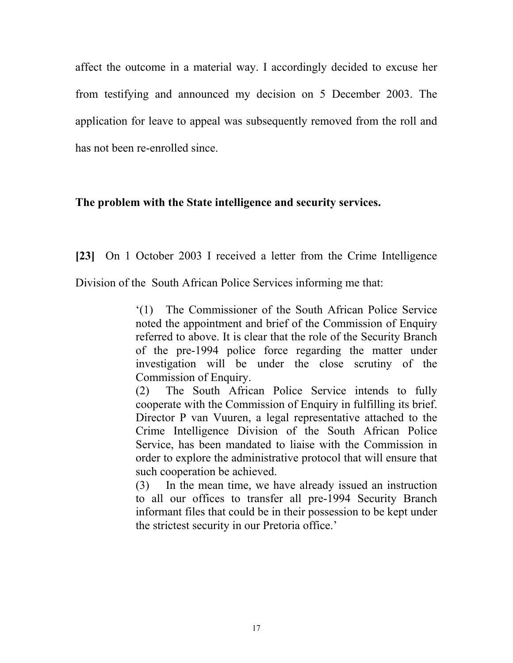affect the outcome in a material way. I accordingly decided to excuse her from testifying and announced my decision on 5 December 2003. The application for leave to appeal was subsequently removed from the roll and has not been re-enrolled since.

## **The problem with the State intelligence and security services.**

**[23]** On 1 October 2003 I received a letter from the Crime Intelligence

Division of the South African Police Services informing me that:

'(1) The Commissioner of the South African Police Service noted the appointment and brief of the Commission of Enquiry referred to above. It is clear that the role of the Security Branch of the pre-1994 police force regarding the matter under investigation will be under the close scrutiny of the Commission of Enquiry.

(2) The South African Police Service intends to fully cooperate with the Commission of Enquiry in fulfilling its brief. Director P van Vuuren, a legal representative attached to the Crime Intelligence Division of the South African Police Service, has been mandated to liaise with the Commission in order to explore the administrative protocol that will ensure that such cooperation be achieved.

(3) In the mean time, we have already issued an instruction to all our offices to transfer all pre-1994 Security Branch informant files that could be in their possession to be kept under the strictest security in our Pretoria office.'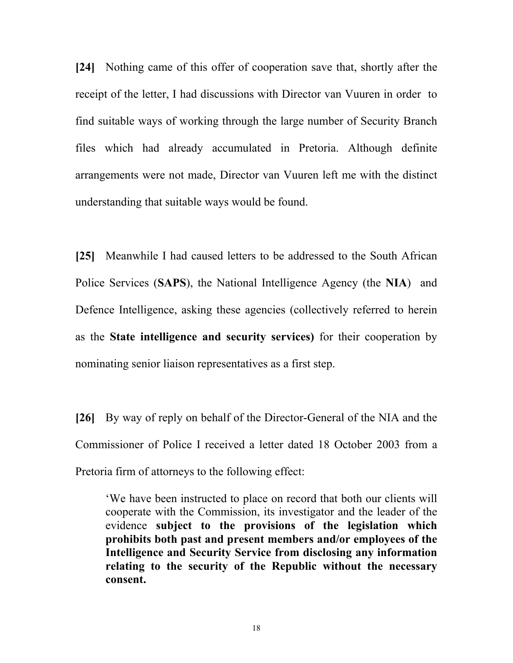**[24]** Nothing came of this offer of cooperation save that, shortly after the receipt of the letter, I had discussions with Director van Vuuren in order to find suitable ways of working through the large number of Security Branch files which had already accumulated in Pretoria. Although definite arrangements were not made, Director van Vuuren left me with the distinct understanding that suitable ways would be found.

**[25]** Meanwhile I had caused letters to be addressed to the South African Police Services (**SAPS**), the National Intelligence Agency (the **NIA**) and Defence Intelligence, asking these agencies (collectively referred to herein as the **State intelligence and security services)** for their cooperation by nominating senior liaison representatives as a first step.

**[26]** By way of reply on behalf of the Director-General of the NIA and the Commissioner of Police I received a letter dated 18 October 2003 from a Pretoria firm of attorneys to the following effect:

'We have been instructed to place on record that both our clients will cooperate with the Commission, its investigator and the leader of the evidence **subject to the provisions of the legislation which prohibits both past and present members and/or employees of the Intelligence and Security Service from disclosing any information relating to the security of the Republic without the necessary consent.**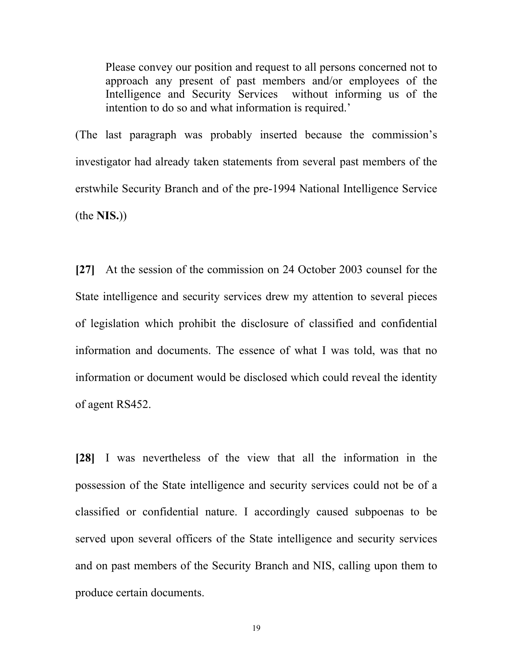Please convey our position and request to all persons concerned not to approach any present of past members and/or employees of the Intelligence and Security Services without informing us of the intention to do so and what information is required.'

(The last paragraph was probably inserted because the commission's investigator had already taken statements from several past members of the erstwhile Security Branch and of the pre-1994 National Intelligence Service (the **NIS.**))

**[27]** At the session of the commission on 24 October 2003 counsel for the State intelligence and security services drew my attention to several pieces of legislation which prohibit the disclosure of classified and confidential information and documents. The essence of what I was told, was that no information or document would be disclosed which could reveal the identity of agent RS452.

**[28]** I was nevertheless of the view that all the information in the possession of the State intelligence and security services could not be of a classified or confidential nature. I accordingly caused subpoenas to be served upon several officers of the State intelligence and security services and on past members of the Security Branch and NIS, calling upon them to produce certain documents.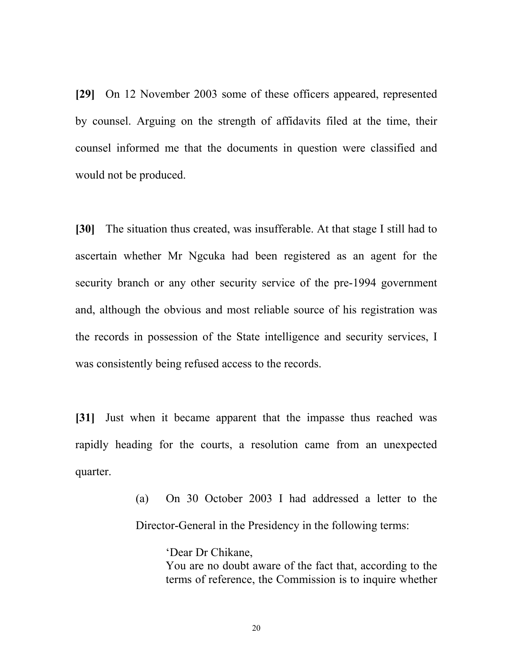**[29]** On 12 November 2003 some of these officers appeared, represented by counsel. Arguing on the strength of affidavits filed at the time, their counsel informed me that the documents in question were classified and would not be produced.

**[30]** The situation thus created, was insufferable. At that stage I still had to ascertain whether Mr Ngcuka had been registered as an agent for the security branch or any other security service of the pre-1994 government and, although the obvious and most reliable source of his registration was the records in possession of the State intelligence and security services, I was consistently being refused access to the records.

**[31]** Just when it became apparent that the impasse thus reached was rapidly heading for the courts, a resolution came from an unexpected quarter.

> (a) On 30 October 2003 I had addressed a letter to the Director-General in the Presidency in the following terms:

> > 'Dear Dr Chikane, You are no doubt aware of the fact that, according to the terms of reference, the Commission is to inquire whether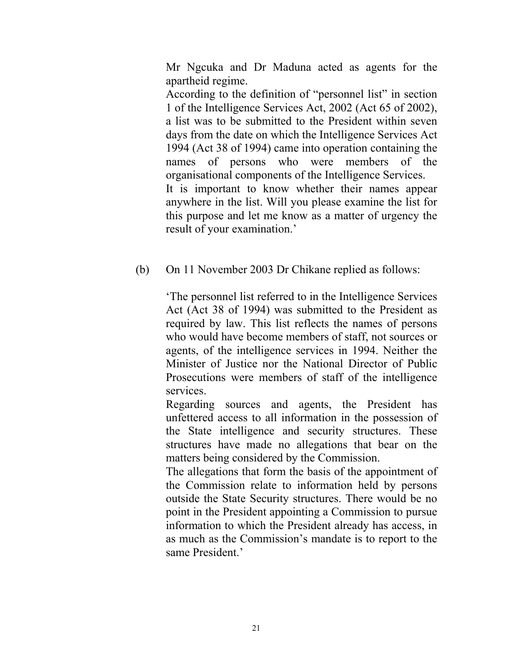Mr Ngcuka and Dr Maduna acted as agents for the apartheid regime.

According to the definition of "personnel list" in section 1 of the Intelligence Services Act, 2002 (Act 65 of 2002), a list was to be submitted to the President within seven days from the date on which the Intelligence Services Act 1994 (Act 38 of 1994) came into operation containing the names of persons who were members of the organisational components of the Intelligence Services. It is important to know whether their names appear anywhere in the list. Will you please examine the list for this purpose and let me know as a matter of urgency the result of your examination.'

(b) On 11 November 2003 Dr Chikane replied as follows:

'The personnel list referred to in the Intelligence Services Act (Act 38 of 1994) was submitted to the President as required by law. This list reflects the names of persons who would have become members of staff, not sources or agents, of the intelligence services in 1994. Neither the Minister of Justice nor the National Director of Public Prosecutions were members of staff of the intelligence services.

Regarding sources and agents, the President has unfettered access to all information in the possession of the State intelligence and security structures. These structures have made no allegations that bear on the matters being considered by the Commission.

The allegations that form the basis of the appointment of the Commission relate to information held by persons outside the State Security structures. There would be no point in the President appointing a Commission to pursue information to which the President already has access, in as much as the Commission's mandate is to report to the same President.'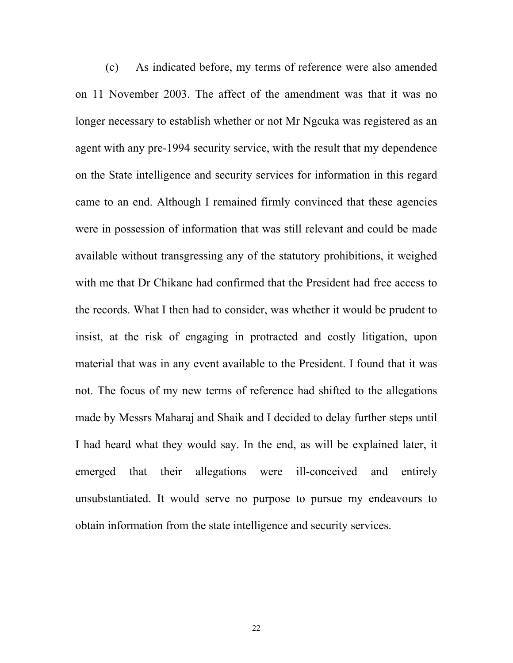(c) As indicated before, my terms of reference were also amended on 11 November 2003. The affect of the amendment was that it was no longer necessary to establish whether or not Mr Ngcuka was registered as an agent with any pre-1994 security service, with the result that my dependence on the State intelligence and security services for information in this regard came to an end. Although I remained firmly convinced that these agencies were in possession of information that was still relevant and could be made available without transgressing any of the statutory prohibitions, it weighed with me that Dr Chikane had confirmed that the President had free access to the records. What I then had to consider, was whether it would be prudent to insist, at the risk of engaging in protracted and costly litigation, upon material that was in any event available to the President. I found that it was not. The focus of my new terms of reference had shifted to the allegations made by Messrs Maharaj and Shaik and I decided to delay further steps until I had heard what they would say. In the end, as will be explained later, it emerged that their allegations were ill-conceived and entirely unsubstantiated. It would serve no purpose to pursue my endeavours to obtain information from the state intelligence and security services.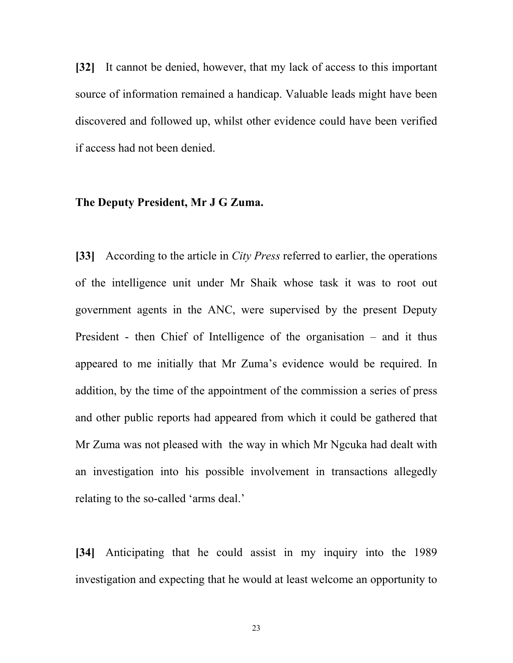**[32]** It cannot be denied, however, that my lack of access to this important source of information remained a handicap. Valuable leads might have been discovered and followed up, whilst other evidence could have been verified if access had not been denied.

#### **The Deputy President, Mr J G Zuma.**

**[33]** According to the article in *City Press* referred to earlier, the operations of the intelligence unit under Mr Shaik whose task it was to root out government agents in the ANC, were supervised by the present Deputy President - then Chief of Intelligence of the organisation – and it thus appeared to me initially that Mr Zuma's evidence would be required. In addition, by the time of the appointment of the commission a series of press and other public reports had appeared from which it could be gathered that Mr Zuma was not pleased with the way in which Mr Ngcuka had dealt with an investigation into his possible involvement in transactions allegedly relating to the so-called 'arms deal.'

**[34]** Anticipating that he could assist in my inquiry into the 1989 investigation and expecting that he would at least welcome an opportunity to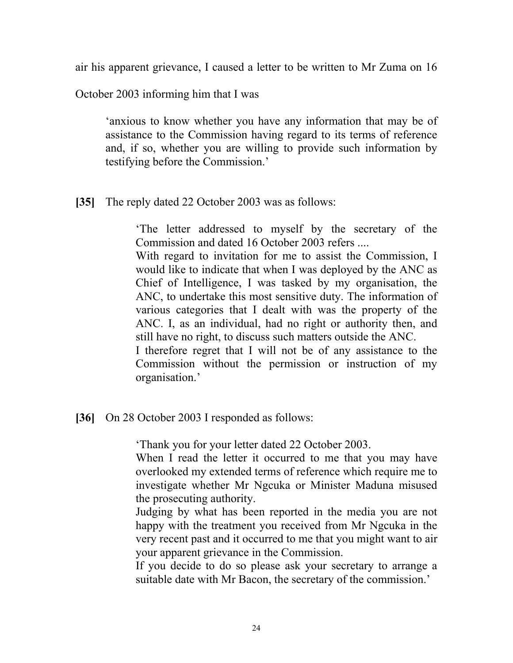air his apparent grievance, I caused a letter to be written to Mr Zuma on 16

October 2003 informing him that I was

'anxious to know whether you have any information that may be of assistance to the Commission having regard to its terms of reference and, if so, whether you are willing to provide such information by testifying before the Commission.'

## **[35]** The reply dated 22 October 2003 was as follows:

'The letter addressed to myself by the secretary of the Commission and dated 16 October 2003 refers ....

With regard to invitation for me to assist the Commission, I would like to indicate that when I was deployed by the ANC as Chief of Intelligence, I was tasked by my organisation, the ANC, to undertake this most sensitive duty. The information of various categories that I dealt with was the property of the ANC. I, as an individual, had no right or authority then, and still have no right, to discuss such matters outside the ANC.

I therefore regret that I will not be of any assistance to the Commission without the permission or instruction of my organisation.'

## **[36]** On 28 October 2003 I responded as follows:

'Thank you for your letter dated 22 October 2003.

When I read the letter it occurred to me that you may have overlooked my extended terms of reference which require me to investigate whether Mr Ngcuka or Minister Maduna misused the prosecuting authority.

Judging by what has been reported in the media you are not happy with the treatment you received from Mr Ngcuka in the very recent past and it occurred to me that you might want to air your apparent grievance in the Commission.

If you decide to do so please ask your secretary to arrange a suitable date with Mr Bacon, the secretary of the commission.'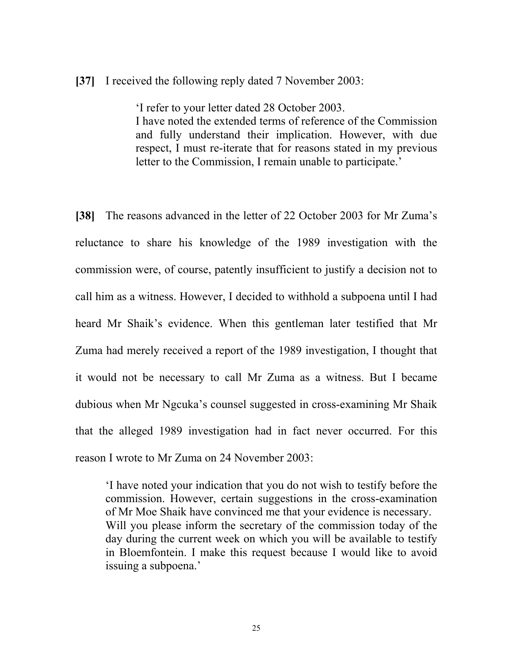## **[37]** I received the following reply dated 7 November 2003:

'I refer to your letter dated 28 October 2003. I have noted the extended terms of reference of the Commission and fully understand their implication. However, with due respect, I must re-iterate that for reasons stated in my previous letter to the Commission, I remain unable to participate.'

**[38]** The reasons advanced in the letter of 22 October 2003 for Mr Zuma's reluctance to share his knowledge of the 1989 investigation with the commission were, of course, patently insufficient to justify a decision not to call him as a witness. However, I decided to withhold a subpoena until I had heard Mr Shaik's evidence. When this gentleman later testified that Mr Zuma had merely received a report of the 1989 investigation, I thought that it would not be necessary to call Mr Zuma as a witness. But I became dubious when Mr Ngcuka's counsel suggested in cross-examining Mr Shaik that the alleged 1989 investigation had in fact never occurred. For this reason I wrote to Mr Zuma on 24 November 2003:

'I have noted your indication that you do not wish to testify before the commission. However, certain suggestions in the cross-examination of Mr Moe Shaik have convinced me that your evidence is necessary. Will you please inform the secretary of the commission today of the day during the current week on which you will be available to testify in Bloemfontein. I make this request because I would like to avoid issuing a subpoena.'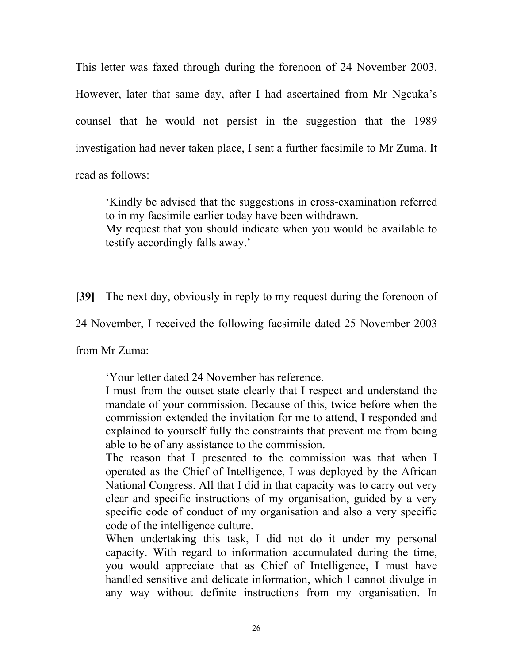This letter was faxed through during the forenoon of 24 November 2003. However, later that same day, after I had ascertained from Mr Ngcuka's counsel that he would not persist in the suggestion that the 1989 investigation had never taken place, I sent a further facsimile to Mr Zuma. It read as follows:

'Kindly be advised that the suggestions in cross-examination referred to in my facsimile earlier today have been withdrawn.

My request that you should indicate when you would be available to testify accordingly falls away.'

**[39]** The next day, obviously in reply to my request during the forenoon of

24 November, I received the following facsimile dated 25 November 2003

from Mr Zuma:

'Your letter dated 24 November has reference.

I must from the outset state clearly that I respect and understand the mandate of your commission. Because of this, twice before when the commission extended the invitation for me to attend, I responded and explained to yourself fully the constraints that prevent me from being able to be of any assistance to the commission.

The reason that I presented to the commission was that when I operated as the Chief of Intelligence, I was deployed by the African National Congress. All that I did in that capacity was to carry out very clear and specific instructions of my organisation, guided by a very specific code of conduct of my organisation and also a very specific code of the intelligence culture.

When undertaking this task, I did not do it under my personal capacity. With regard to information accumulated during the time, you would appreciate that as Chief of Intelligence, I must have handled sensitive and delicate information, which I cannot divulge in any way without definite instructions from my organisation. In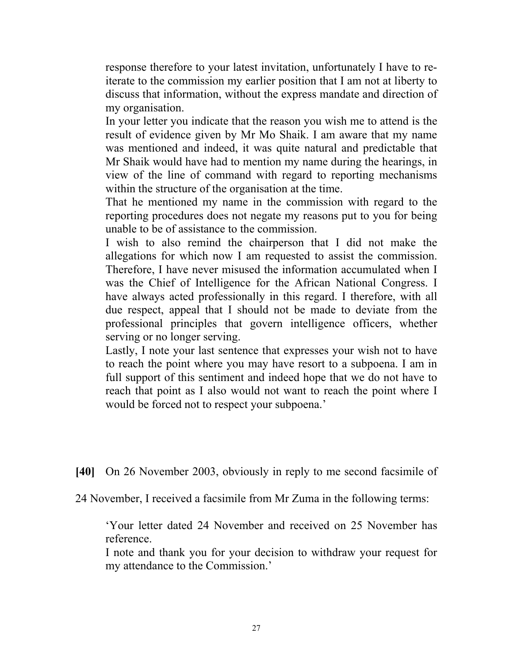response therefore to your latest invitation, unfortunately I have to reiterate to the commission my earlier position that I am not at liberty to discuss that information, without the express mandate and direction of my organisation.

In your letter you indicate that the reason you wish me to attend is the result of evidence given by Mr Mo Shaik. I am aware that my name was mentioned and indeed, it was quite natural and predictable that Mr Shaik would have had to mention my name during the hearings, in view of the line of command with regard to reporting mechanisms within the structure of the organisation at the time.

That he mentioned my name in the commission with regard to the reporting procedures does not negate my reasons put to you for being unable to be of assistance to the commission.

I wish to also remind the chairperson that I did not make the allegations for which now I am requested to assist the commission. Therefore, I have never misused the information accumulated when I was the Chief of Intelligence for the African National Congress. I have always acted professionally in this regard. I therefore, with all due respect, appeal that I should not be made to deviate from the professional principles that govern intelligence officers, whether serving or no longer serving.

Lastly, I note your last sentence that expresses your wish not to have to reach the point where you may have resort to a subpoena. I am in full support of this sentiment and indeed hope that we do not have to reach that point as I also would not want to reach the point where I would be forced not to respect your subpoena.'

**[40]** On 26 November 2003, obviously in reply to me second facsimile of

24 November, I received a facsimile from Mr Zuma in the following terms:

'Your letter dated 24 November and received on 25 November has reference.

I note and thank you for your decision to withdraw your request for my attendance to the Commission.'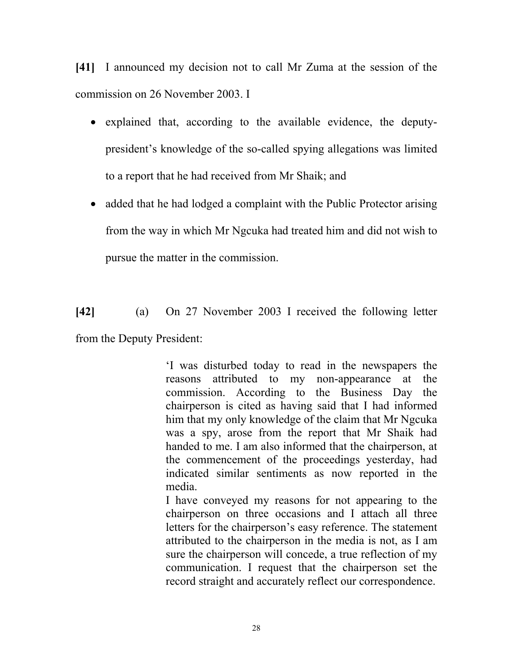**[41]** I announced my decision not to call Mr Zuma at the session of the commission on 26 November 2003. I

- explained that, according to the available evidence, the deputypresident's knowledge of the so-called spying allegations was limited to a report that he had received from Mr Shaik; and
- added that he had lodged a complaint with the Public Protector arising from the way in which Mr Ngcuka had treated him and did not wish to pursue the matter in the commission.

**[42]** (a) On 27 November 2003 I received the following letter from the Deputy President:

> 'I was disturbed today to read in the newspapers the reasons attributed to my non-appearance at the commission. According to the Business Day the chairperson is cited as having said that I had informed him that my only knowledge of the claim that Mr Ngcuka was a spy, arose from the report that Mr Shaik had handed to me. I am also informed that the chairperson, at the commencement of the proceedings yesterday, had indicated similar sentiments as now reported in the media.

> I have conveyed my reasons for not appearing to the chairperson on three occasions and I attach all three letters for the chairperson's easy reference. The statement attributed to the chairperson in the media is not, as I am sure the chairperson will concede, a true reflection of my communication. I request that the chairperson set the record straight and accurately reflect our correspondence.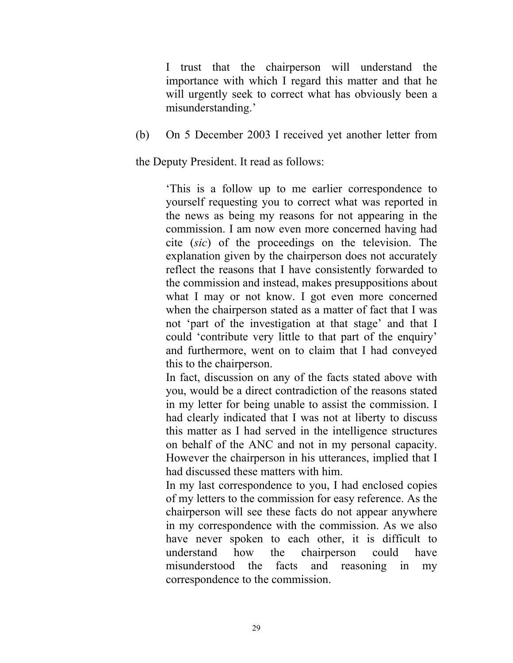I trust that the chairperson will understand the importance with which I regard this matter and that he will urgently seek to correct what has obviously been a misunderstanding.'

(b) On 5 December 2003 I received yet another letter from

the Deputy President. It read as follows:

'This is a follow up to me earlier correspondence to yourself requesting you to correct what was reported in the news as being my reasons for not appearing in the commission. I am now even more concerned having had cite (*sic*) of the proceedings on the television. The explanation given by the chairperson does not accurately reflect the reasons that I have consistently forwarded to the commission and instead, makes presuppositions about what I may or not know. I got even more concerned when the chairperson stated as a matter of fact that I was not 'part of the investigation at that stage' and that I could 'contribute very little to that part of the enquiry' and furthermore, went on to claim that I had conveyed this to the chairperson.

In fact, discussion on any of the facts stated above with you, would be a direct contradiction of the reasons stated in my letter for being unable to assist the commission. I had clearly indicated that I was not at liberty to discuss this matter as I had served in the intelligence structures on behalf of the ANC and not in my personal capacity. However the chairperson in his utterances, implied that I had discussed these matters with him.

In my last correspondence to you, I had enclosed copies of my letters to the commission for easy reference. As the chairperson will see these facts do not appear anywhere in my correspondence with the commission. As we also have never spoken to each other, it is difficult to understand how the chairperson could have misunderstood the facts and reasoning in my correspondence to the commission.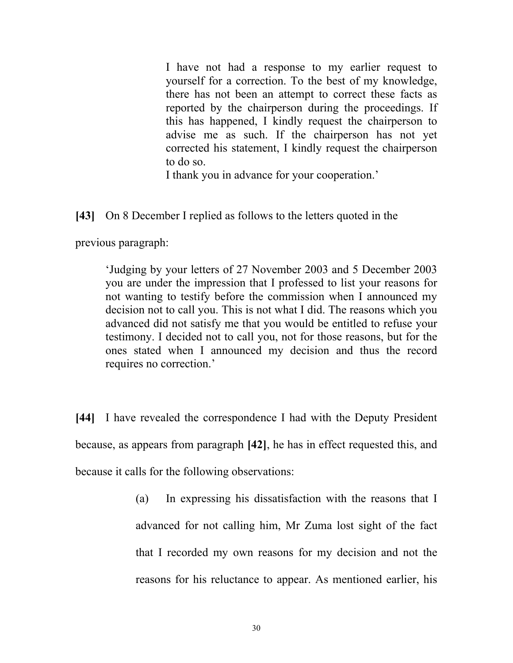I have not had a response to my earlier request to yourself for a correction. To the best of my knowledge, there has not been an attempt to correct these facts as reported by the chairperson during the proceedings. If this has happened, I kindly request the chairperson to advise me as such. If the chairperson has not yet corrected his statement, I kindly request the chairperson to do so.

I thank you in advance for your cooperation.'

## **[43]** On 8 December I replied as follows to the letters quoted in the

previous paragraph:

'Judging by your letters of 27 November 2003 and 5 December 2003 you are under the impression that I professed to list your reasons for not wanting to testify before the commission when I announced my decision not to call you. This is not what I did. The reasons which you advanced did not satisfy me that you would be entitled to refuse your testimony. I decided not to call you, not for those reasons, but for the ones stated when I announced my decision and thus the record requires no correction.'

**[44]** I have revealed the correspondence I had with the Deputy President because, as appears from paragraph **[42]**, he has in effect requested this, and because it calls for the following observations:

> (a) In expressing his dissatisfaction with the reasons that I advanced for not calling him, Mr Zuma lost sight of the fact that I recorded my own reasons for my decision and not the reasons for his reluctance to appear. As mentioned earlier, his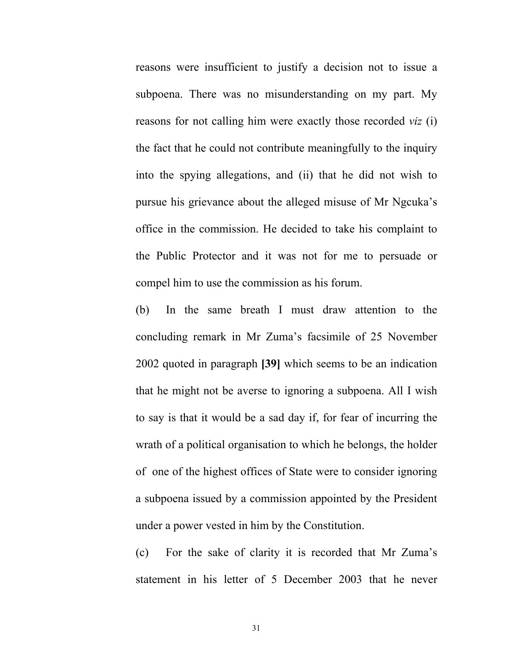reasons were insufficient to justify a decision not to issue a subpoena. There was no misunderstanding on my part. My reasons for not calling him were exactly those recorded *viz* (i) the fact that he could not contribute meaningfully to the inquiry into the spying allegations, and (ii) that he did not wish to pursue his grievance about the alleged misuse of Mr Ngcuka's office in the commission. He decided to take his complaint to the Public Protector and it was not for me to persuade or compel him to use the commission as his forum.

(b) In the same breath I must draw attention to the concluding remark in Mr Zuma's facsimile of 25 November 2002 quoted in paragraph **[39]** which seems to be an indication that he might not be averse to ignoring a subpoena. All I wish to say is that it would be a sad day if, for fear of incurring the wrath of a political organisation to which he belongs, the holder of one of the highest offices of State were to consider ignoring a subpoena issued by a commission appointed by the President under a power vested in him by the Constitution.

(c) For the sake of clarity it is recorded that Mr Zuma's statement in his letter of 5 December 2003 that he never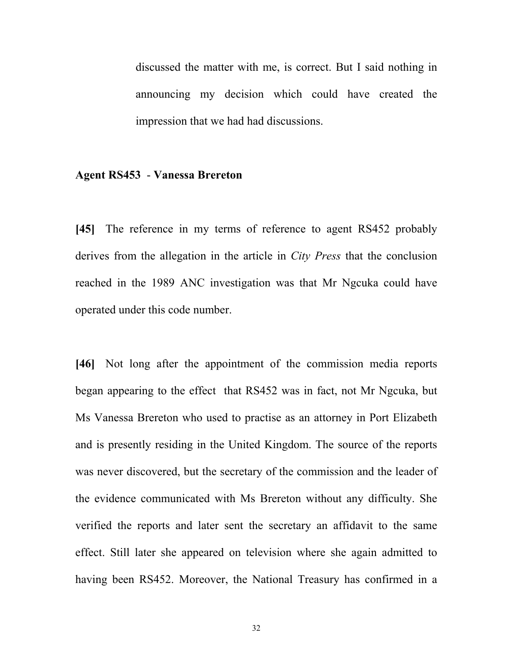discussed the matter with me, is correct. But I said nothing in announcing my decision which could have created the impression that we had had discussions.

#### **Agent RS453** - **Vanessa Brereton**

**[45]** The reference in my terms of reference to agent RS452 probably derives from the allegation in the article in *City Press* that the conclusion reached in the 1989 ANC investigation was that Mr Ngcuka could have operated under this code number.

**[46]** Not long after the appointment of the commission media reports began appearing to the effect that RS452 was in fact, not Mr Ngcuka, but Ms Vanessa Brereton who used to practise as an attorney in Port Elizabeth and is presently residing in the United Kingdom. The source of the reports was never discovered, but the secretary of the commission and the leader of the evidence communicated with Ms Brereton without any difficulty. She verified the reports and later sent the secretary an affidavit to the same effect. Still later she appeared on television where she again admitted to having been RS452. Moreover, the National Treasury has confirmed in a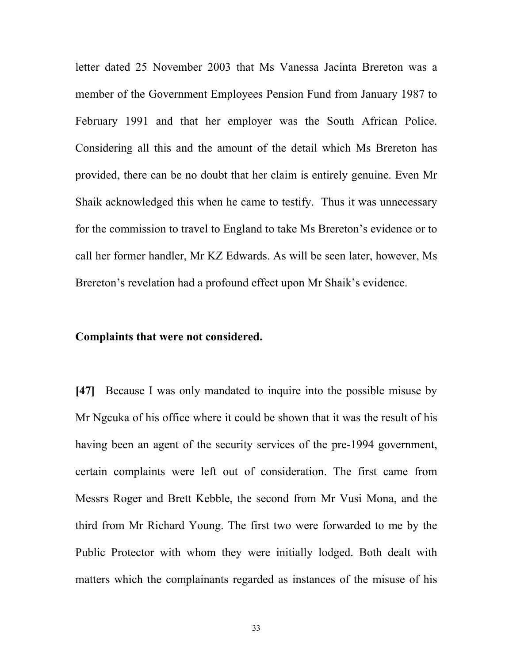letter dated 25 November 2003 that Ms Vanessa Jacinta Brereton was a member of the Government Employees Pension Fund from January 1987 to February 1991 and that her employer was the South African Police. Considering all this and the amount of the detail which Ms Brereton has provided, there can be no doubt that her claim is entirely genuine. Even Mr Shaik acknowledged this when he came to testify. Thus it was unnecessary for the commission to travel to England to take Ms Brereton's evidence or to call her former handler, Mr KZ Edwards. As will be seen later, however, Ms Brereton's revelation had a profound effect upon Mr Shaik's evidence.

## **Complaints that were not considered.**

**[47]** Because I was only mandated to inquire into the possible misuse by Mr Ngcuka of his office where it could be shown that it was the result of his having been an agent of the security services of the pre-1994 government, certain complaints were left out of consideration. The first came from Messrs Roger and Brett Kebble, the second from Mr Vusi Mona, and the third from Mr Richard Young. The first two were forwarded to me by the Public Protector with whom they were initially lodged. Both dealt with matters which the complainants regarded as instances of the misuse of his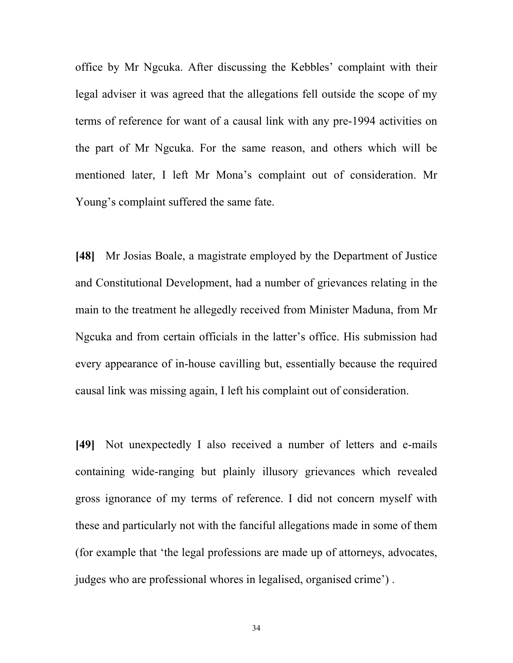office by Mr Ngcuka. After discussing the Kebbles' complaint with their legal adviser it was agreed that the allegations fell outside the scope of my terms of reference for want of a causal link with any pre-1994 activities on the part of Mr Ngcuka. For the same reason, and others which will be mentioned later, I left Mr Mona's complaint out of consideration. Mr Young's complaint suffered the same fate.

**[48]** Mr Josias Boale, a magistrate employed by the Department of Justice and Constitutional Development, had a number of grievances relating in the main to the treatment he allegedly received from Minister Maduna, from Mr Ngcuka and from certain officials in the latter's office. His submission had every appearance of in-house cavilling but, essentially because the required causal link was missing again, I left his complaint out of consideration.

**[49]** Not unexpectedly I also received a number of letters and e-mails containing wide-ranging but plainly illusory grievances which revealed gross ignorance of my terms of reference. I did not concern myself with these and particularly not with the fanciful allegations made in some of them (for example that 'the legal professions are made up of attorneys, advocates, judges who are professional whores in legalised, organised crime') .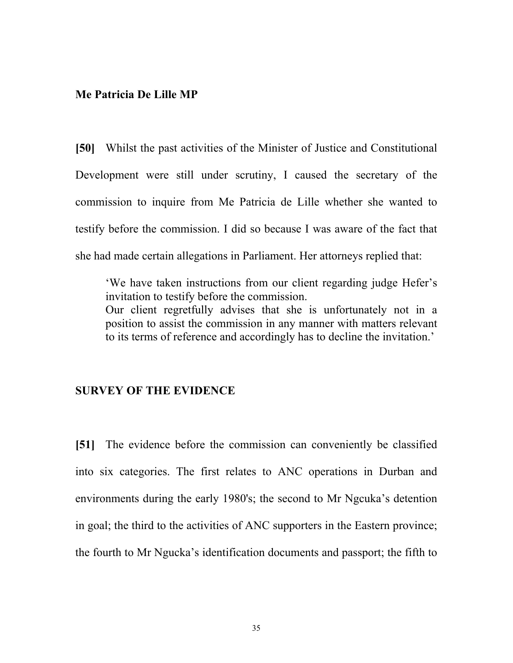### **Me Patricia De Lille MP**

**[50]** Whilst the past activities of the Minister of Justice and Constitutional Development were still under scrutiny, I caused the secretary of the commission to inquire from Me Patricia de Lille whether she wanted to testify before the commission. I did so because I was aware of the fact that she had made certain allegations in Parliament. Her attorneys replied that:

'We have taken instructions from our client regarding judge Hefer's invitation to testify before the commission. Our client regretfully advises that she is unfortunately not in a position to assist the commission in any manner with matters relevant to its terms of reference and accordingly has to decline the invitation.'

## **SURVEY OF THE EVIDENCE**

**[51]** The evidence before the commission can conveniently be classified into six categories. The first relates to ANC operations in Durban and environments during the early 1980's; the second to Mr Ngcuka's detention in goal; the third to the activities of ANC supporters in the Eastern province; the fourth to Mr Ngucka's identification documents and passport; the fifth to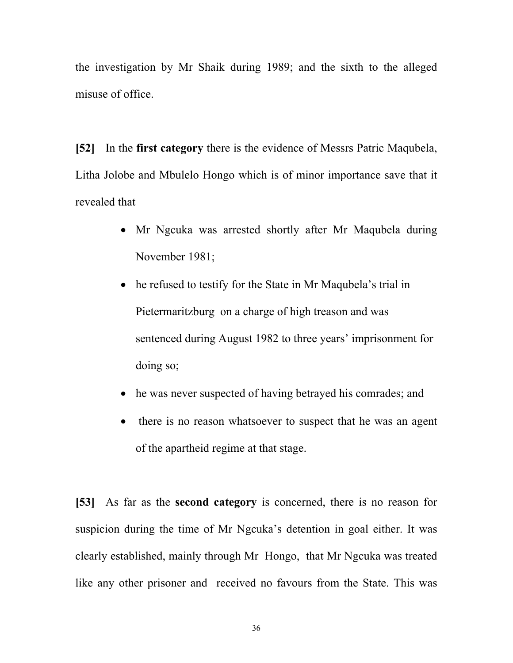the investigation by Mr Shaik during 1989; and the sixth to the alleged misuse of office.

**[52]** In the **first category** there is the evidence of Messrs Patric Maqubela, Litha Jolobe and Mbulelo Hongo which is of minor importance save that it revealed that

- Mr Ngcuka was arrested shortly after Mr Maqubela during November 1981;
- he refused to testify for the State in Mr Maqubela's trial in Pietermaritzburg on a charge of high treason and was sentenced during August 1982 to three years' imprisonment for doing so;
- he was never suspected of having betrayed his comrades; and
- there is no reason whatsoever to suspect that he was an agent of the apartheid regime at that stage.

**[53]** As far as the **second category** is concerned, there is no reason for suspicion during the time of Mr Ngcuka's detention in goal either. It was clearly established, mainly through Mr Hongo, that Mr Ngcuka was treated like any other prisoner and received no favours from the State. This was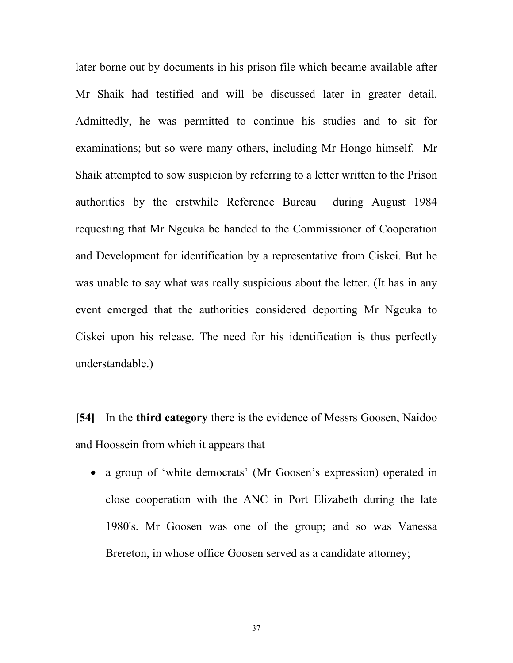later borne out by documents in his prison file which became available after Mr Shaik had testified and will be discussed later in greater detail. Admittedly, he was permitted to continue his studies and to sit for examinations; but so were many others, including Mr Hongo himself. Mr Shaik attempted to sow suspicion by referring to a letter written to the Prison authorities by the erstwhile Reference Bureau during August 1984 requesting that Mr Ngcuka be handed to the Commissioner of Cooperation and Development for identification by a representative from Ciskei. But he was unable to say what was really suspicious about the letter. (It has in any event emerged that the authorities considered deporting Mr Ngcuka to Ciskei upon his release. The need for his identification is thus perfectly understandable.)

**[54]** In the **third category** there is the evidence of Messrs Goosen, Naidoo and Hoossein from which it appears that

• a group of 'white democrats' (Mr Goosen's expression) operated in close cooperation with the ANC in Port Elizabeth during the late 1980's. Mr Goosen was one of the group; and so was Vanessa Brereton, in whose office Goosen served as a candidate attorney;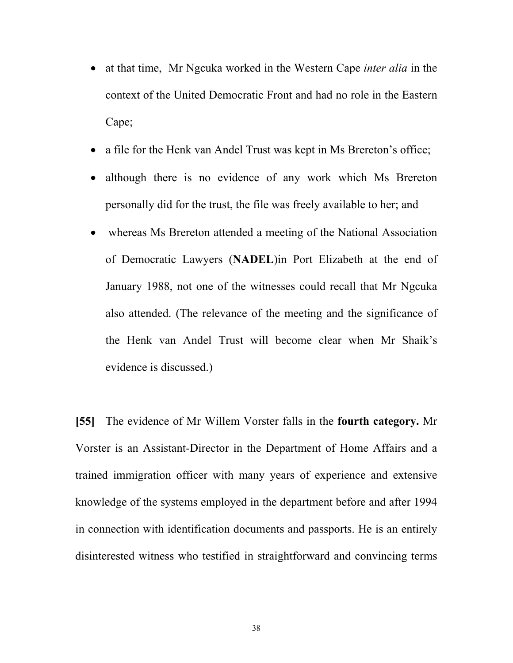- at that time, Mr Ngcuka worked in the Western Cape *inter alia* in the context of the United Democratic Front and had no role in the Eastern Cape;
- a file for the Henk van Andel Trust was kept in Ms Brereton's office;
- although there is no evidence of any work which Ms Brereton personally did for the trust, the file was freely available to her; and
- whereas Ms Brereton attended a meeting of the National Association of Democratic Lawyers (**NADEL**)in Port Elizabeth at the end of January 1988, not one of the witnesses could recall that Mr Ngcuka also attended. (The relevance of the meeting and the significance of the Henk van Andel Trust will become clear when Mr Shaik's evidence is discussed.)

**[55]** The evidence of Mr Willem Vorster falls in the **fourth category.** Mr Vorster is an Assistant-Director in the Department of Home Affairs and a trained immigration officer with many years of experience and extensive knowledge of the systems employed in the department before and after 1994 in connection with identification documents and passports. He is an entirely disinterested witness who testified in straightforward and convincing terms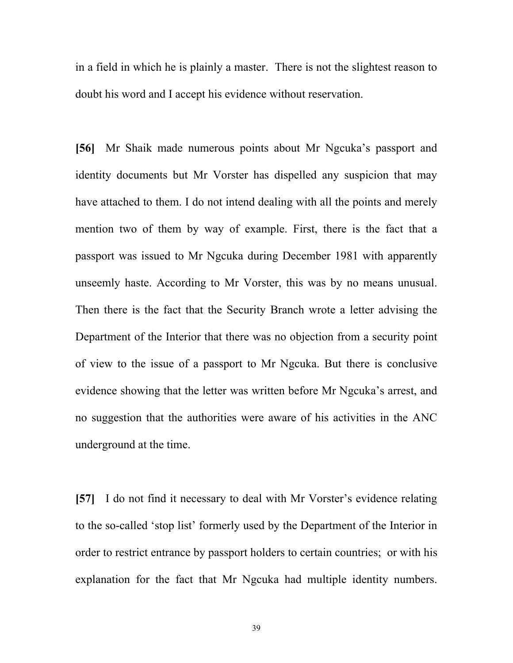in a field in which he is plainly a master. There is not the slightest reason to doubt his word and I accept his evidence without reservation.

**[56]** Mr Shaik made numerous points about Mr Ngcuka's passport and identity documents but Mr Vorster has dispelled any suspicion that may have attached to them. I do not intend dealing with all the points and merely mention two of them by way of example. First, there is the fact that a passport was issued to Mr Ngcuka during December 1981 with apparently unseemly haste. According to Mr Vorster, this was by no means unusual. Then there is the fact that the Security Branch wrote a letter advising the Department of the Interior that there was no objection from a security point of view to the issue of a passport to Mr Ngcuka. But there is conclusive evidence showing that the letter was written before Mr Ngcuka's arrest, and no suggestion that the authorities were aware of his activities in the ANC underground at the time.

**[57]** I do not find it necessary to deal with Mr Vorster's evidence relating to the so-called 'stop list' formerly used by the Department of the Interior in order to restrict entrance by passport holders to certain countries; or with his explanation for the fact that Mr Ngcuka had multiple identity numbers.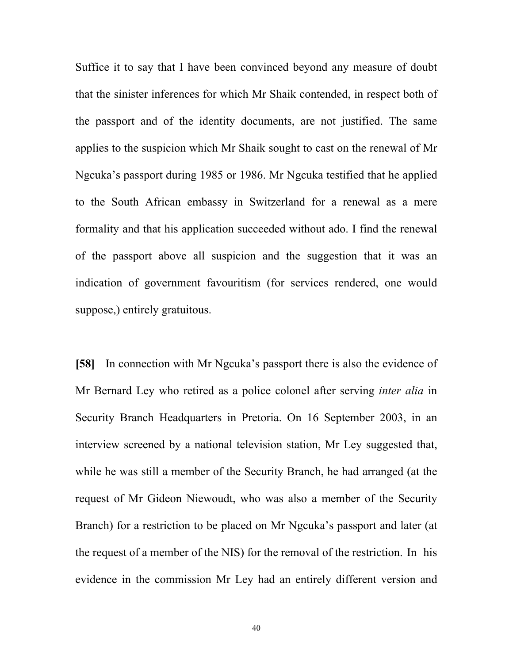Suffice it to say that I have been convinced beyond any measure of doubt that the sinister inferences for which Mr Shaik contended, in respect both of the passport and of the identity documents, are not justified. The same applies to the suspicion which Mr Shaik sought to cast on the renewal of Mr Ngcuka's passport during 1985 or 1986. Mr Ngcuka testified that he applied to the South African embassy in Switzerland for a renewal as a mere formality and that his application succeeded without ado. I find the renewal of the passport above all suspicion and the suggestion that it was an indication of government favouritism (for services rendered, one would suppose,) entirely gratuitous.

**[58]** In connection with Mr Ngcuka's passport there is also the evidence of Mr Bernard Ley who retired as a police colonel after serving *inter alia* in Security Branch Headquarters in Pretoria. On 16 September 2003, in an interview screened by a national television station, Mr Ley suggested that, while he was still a member of the Security Branch, he had arranged (at the request of Mr Gideon Niewoudt, who was also a member of the Security Branch) for a restriction to be placed on Mr Ngcuka's passport and later (at the request of a member of the NIS) for the removal of the restriction. In his evidence in the commission Mr Ley had an entirely different version and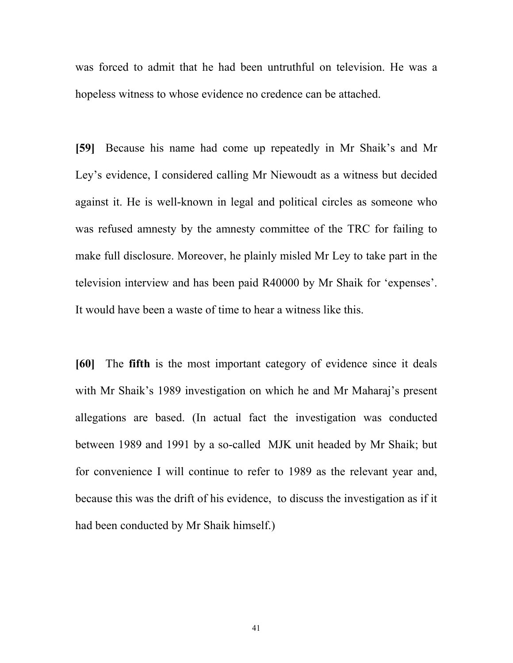was forced to admit that he had been untruthful on television. He was a hopeless witness to whose evidence no credence can be attached.

**[59]** Because his name had come up repeatedly in Mr Shaik's and Mr Ley's evidence, I considered calling Mr Niewoudt as a witness but decided against it. He is well-known in legal and political circles as someone who was refused amnesty by the amnesty committee of the TRC for failing to make full disclosure. Moreover, he plainly misled Mr Ley to take part in the television interview and has been paid R40000 by Mr Shaik for 'expenses'. It would have been a waste of time to hear a witness like this.

**[60]** The **fifth** is the most important category of evidence since it deals with Mr Shaik's 1989 investigation on which he and Mr Maharaj's present allegations are based. (In actual fact the investigation was conducted between 1989 and 1991 by a so-called MJK unit headed by Mr Shaik; but for convenience I will continue to refer to 1989 as the relevant year and, because this was the drift of his evidence, to discuss the investigation as if it had been conducted by Mr Shaik himself.)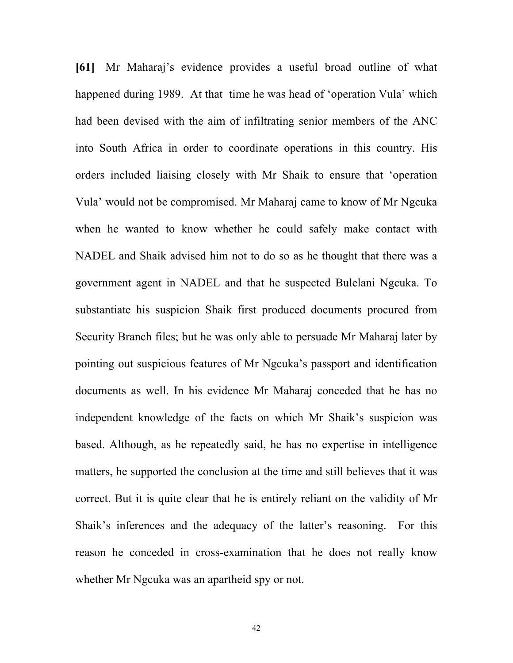**[61]** Mr Maharaj's evidence provides a useful broad outline of what happened during 1989. At that time he was head of 'operation Vula' which had been devised with the aim of infiltrating senior members of the ANC into South Africa in order to coordinate operations in this country. His orders included liaising closely with Mr Shaik to ensure that 'operation Vula' would not be compromised. Mr Maharaj came to know of Mr Ngcuka when he wanted to know whether he could safely make contact with NADEL and Shaik advised him not to do so as he thought that there was a government agent in NADEL and that he suspected Bulelani Ngcuka. To substantiate his suspicion Shaik first produced documents procured from Security Branch files; but he was only able to persuade Mr Maharaj later by pointing out suspicious features of Mr Ngcuka's passport and identification documents as well. In his evidence Mr Maharaj conceded that he has no independent knowledge of the facts on which Mr Shaik's suspicion was based. Although, as he repeatedly said, he has no expertise in intelligence matters, he supported the conclusion at the time and still believes that it was correct. But it is quite clear that he is entirely reliant on the validity of Mr Shaik's inferences and the adequacy of the latter's reasoning. For this reason he conceded in cross-examination that he does not really know whether Mr Ngcuka was an apartheid spy or not.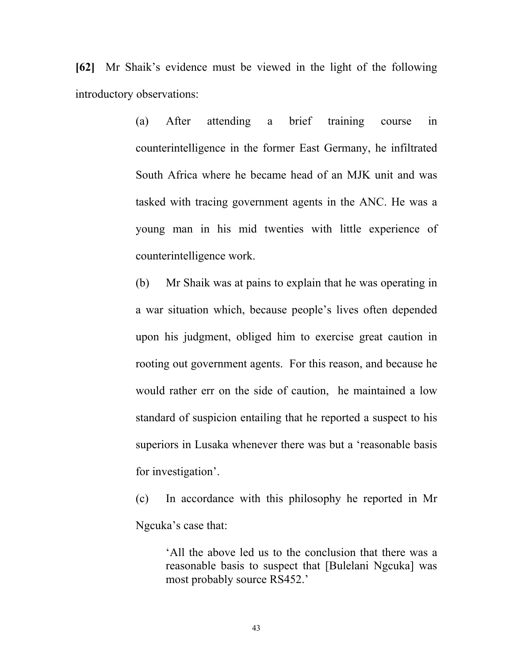**[62]** Mr Shaik's evidence must be viewed in the light of the following introductory observations:

> (a) After attending a brief training course in counterintelligence in the former East Germany, he infiltrated South Africa where he became head of an MJK unit and was tasked with tracing government agents in the ANC. He was a young man in his mid twenties with little experience of counterintelligence work.

> (b) Mr Shaik was at pains to explain that he was operating in a war situation which, because people's lives often depended upon his judgment, obliged him to exercise great caution in rooting out government agents. For this reason, and because he would rather err on the side of caution, he maintained a low standard of suspicion entailing that he reported a suspect to his superiors in Lusaka whenever there was but a 'reasonable basis for investigation'.

> (c) In accordance with this philosophy he reported in Mr Ngcuka's case that:

> > 'All the above led us to the conclusion that there was a reasonable basis to suspect that [Bulelani Ngcuka] was most probably source RS452.'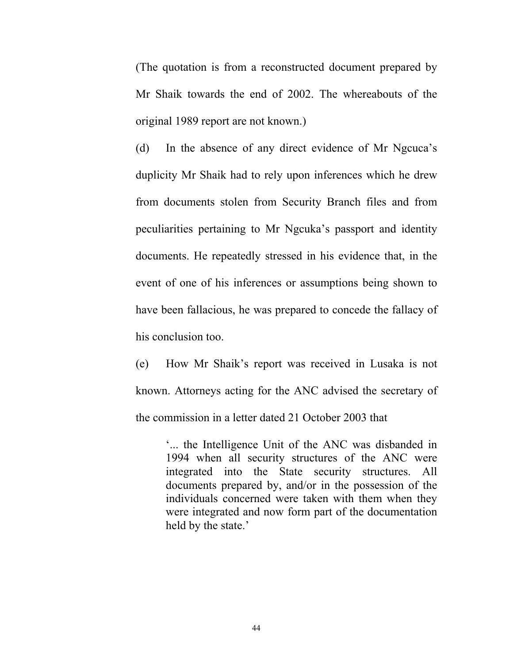(The quotation is from a reconstructed document prepared by Mr Shaik towards the end of 2002. The whereabouts of the original 1989 report are not known.)

(d) In the absence of any direct evidence of Mr Ngcuca's duplicity Mr Shaik had to rely upon inferences which he drew from documents stolen from Security Branch files and from peculiarities pertaining to Mr Ngcuka's passport and identity documents. He repeatedly stressed in his evidence that, in the event of one of his inferences or assumptions being shown to have been fallacious, he was prepared to concede the fallacy of his conclusion too.

(e) How Mr Shaik's report was received in Lusaka is not known. Attorneys acting for the ANC advised the secretary of the commission in a letter dated 21 October 2003 that

> '... the Intelligence Unit of the ANC was disbanded in 1994 when all security structures of the ANC were integrated into the State security structures. All documents prepared by, and/or in the possession of the individuals concerned were taken with them when they were integrated and now form part of the documentation held by the state.'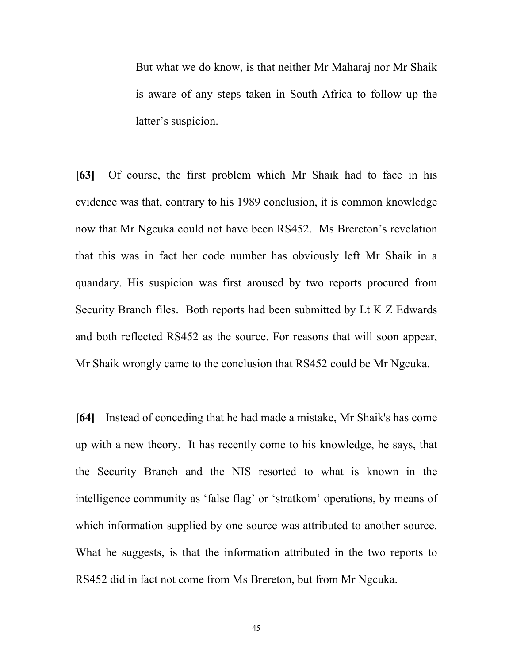But what we do know, is that neither Mr Maharaj nor Mr Shaik is aware of any steps taken in South Africa to follow up the latter's suspicion.

**[63]** Of course, the first problem which Mr Shaik had to face in his evidence was that, contrary to his 1989 conclusion, it is common knowledge now that Mr Ngcuka could not have been RS452. Ms Brereton's revelation that this was in fact her code number has obviously left Mr Shaik in a quandary. His suspicion was first aroused by two reports procured from Security Branch files. Both reports had been submitted by Lt K Z Edwards and both reflected RS452 as the source. For reasons that will soon appear, Mr Shaik wrongly came to the conclusion that RS452 could be Mr Ngcuka.

**[64]** Instead of conceding that he had made a mistake, Mr Shaik's has come up with a new theory. It has recently come to his knowledge, he says, that the Security Branch and the NIS resorted to what is known in the intelligence community as 'false flag' or 'stratkom' operations, by means of which information supplied by one source was attributed to another source. What he suggests, is that the information attributed in the two reports to RS452 did in fact not come from Ms Brereton, but from Mr Ngcuka.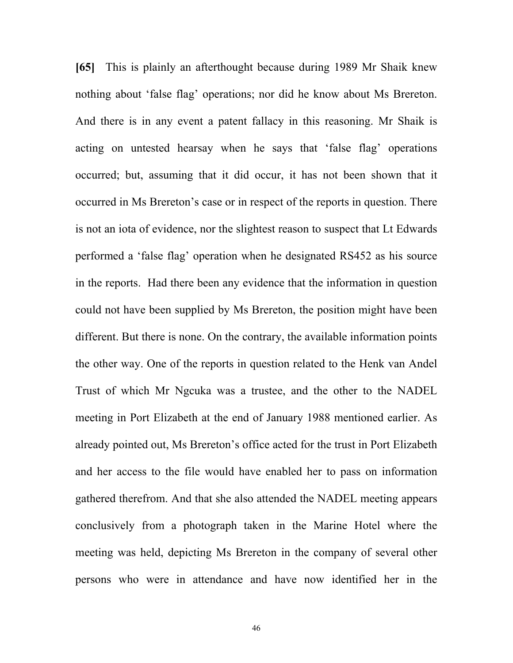**[65]** This is plainly an afterthought because during 1989 Mr Shaik knew nothing about 'false flag' operations; nor did he know about Ms Brereton. And there is in any event a patent fallacy in this reasoning. Mr Shaik is acting on untested hearsay when he says that 'false flag' operations occurred; but, assuming that it did occur, it has not been shown that it occurred in Ms Brereton's case or in respect of the reports in question. There is not an iota of evidence, nor the slightest reason to suspect that Lt Edwards performed a 'false flag' operation when he designated RS452 as his source in the reports. Had there been any evidence that the information in question could not have been supplied by Ms Brereton, the position might have been different. But there is none. On the contrary, the available information points the other way. One of the reports in question related to the Henk van Andel Trust of which Mr Ngcuka was a trustee, and the other to the NADEL meeting in Port Elizabeth at the end of January 1988 mentioned earlier. As already pointed out, Ms Brereton's office acted for the trust in Port Elizabeth and her access to the file would have enabled her to pass on information gathered therefrom. And that she also attended the NADEL meeting appears conclusively from a photograph taken in the Marine Hotel where the meeting was held, depicting Ms Brereton in the company of several other persons who were in attendance and have now identified her in the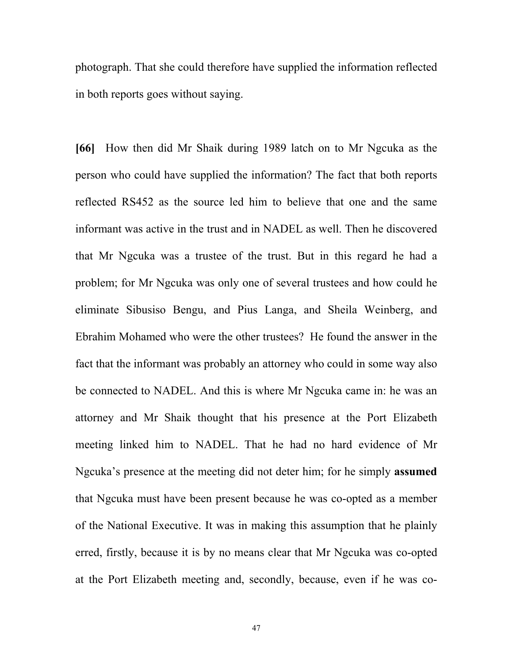photograph. That she could therefore have supplied the information reflected in both reports goes without saying.

**[66]** How then did Mr Shaik during 1989 latch on to Mr Ngcuka as the person who could have supplied the information? The fact that both reports reflected RS452 as the source led him to believe that one and the same informant was active in the trust and in NADEL as well. Then he discovered that Mr Ngcuka was a trustee of the trust. But in this regard he had a problem; for Mr Ngcuka was only one of several trustees and how could he eliminate Sibusiso Bengu, and Pius Langa, and Sheila Weinberg, and Ebrahim Mohamed who were the other trustees? He found the answer in the fact that the informant was probably an attorney who could in some way also be connected to NADEL. And this is where Mr Ngcuka came in: he was an attorney and Mr Shaik thought that his presence at the Port Elizabeth meeting linked him to NADEL. That he had no hard evidence of Mr Ngcuka's presence at the meeting did not deter him; for he simply **assumed** that Ngcuka must have been present because he was co-opted as a member of the National Executive. It was in making this assumption that he plainly erred, firstly, because it is by no means clear that Mr Ngcuka was co-opted at the Port Elizabeth meeting and, secondly, because, even if he was co-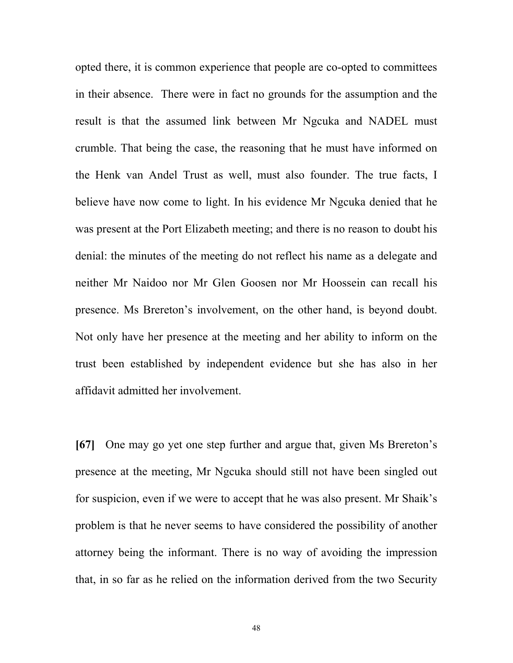opted there, it is common experience that people are co-opted to committees in their absence. There were in fact no grounds for the assumption and the result is that the assumed link between Mr Ngcuka and NADEL must crumble. That being the case, the reasoning that he must have informed on the Henk van Andel Trust as well, must also founder. The true facts, I believe have now come to light. In his evidence Mr Ngcuka denied that he was present at the Port Elizabeth meeting; and there is no reason to doubt his denial: the minutes of the meeting do not reflect his name as a delegate and neither Mr Naidoo nor Mr Glen Goosen nor Mr Hoossein can recall his presence. Ms Brereton's involvement, on the other hand, is beyond doubt. Not only have her presence at the meeting and her ability to inform on the trust been established by independent evidence but she has also in her affidavit admitted her involvement.

**[67]** One may go yet one step further and argue that, given Ms Brereton's presence at the meeting, Mr Ngcuka should still not have been singled out for suspicion, even if we were to accept that he was also present. Mr Shaik's problem is that he never seems to have considered the possibility of another attorney being the informant. There is no way of avoiding the impression that, in so far as he relied on the information derived from the two Security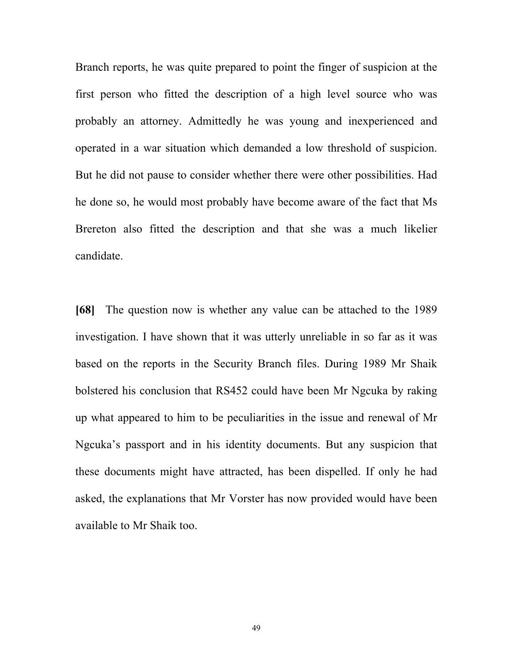Branch reports, he was quite prepared to point the finger of suspicion at the first person who fitted the description of a high level source who was probably an attorney. Admittedly he was young and inexperienced and operated in a war situation which demanded a low threshold of suspicion. But he did not pause to consider whether there were other possibilities. Had he done so, he would most probably have become aware of the fact that Ms Brereton also fitted the description and that she was a much likelier candidate.

**[68]** The question now is whether any value can be attached to the 1989 investigation. I have shown that it was utterly unreliable in so far as it was based on the reports in the Security Branch files. During 1989 Mr Shaik bolstered his conclusion that RS452 could have been Mr Ngcuka by raking up what appeared to him to be peculiarities in the issue and renewal of Mr Ngcuka's passport and in his identity documents. But any suspicion that these documents might have attracted, has been dispelled. If only he had asked, the explanations that Mr Vorster has now provided would have been available to Mr Shaik too.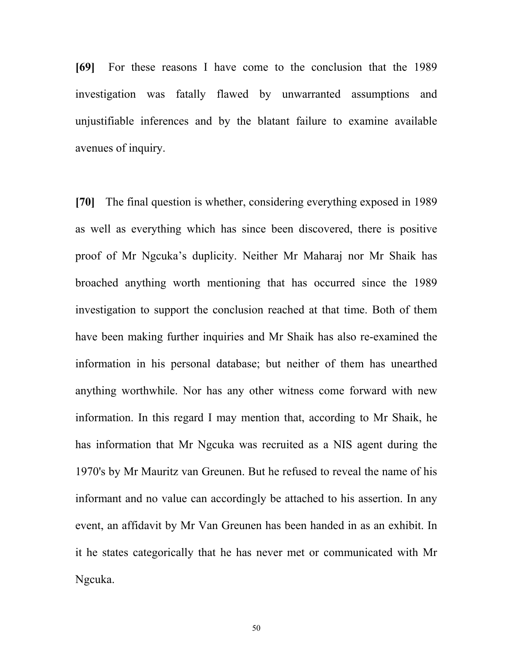**[69]** For these reasons I have come to the conclusion that the 1989 investigation was fatally flawed by unwarranted assumptions and unjustifiable inferences and by the blatant failure to examine available avenues of inquiry.

**[70]** The final question is whether, considering everything exposed in 1989 as well as everything which has since been discovered, there is positive proof of Mr Ngcuka's duplicity. Neither Mr Maharaj nor Mr Shaik has broached anything worth mentioning that has occurred since the 1989 investigation to support the conclusion reached at that time. Both of them have been making further inquiries and Mr Shaik has also re-examined the information in his personal database; but neither of them has unearthed anything worthwhile. Nor has any other witness come forward with new information. In this regard I may mention that, according to Mr Shaik, he has information that Mr Ngcuka was recruited as a NIS agent during the 1970's by Mr Mauritz van Greunen. But he refused to reveal the name of his informant and no value can accordingly be attached to his assertion. In any event, an affidavit by Mr Van Greunen has been handed in as an exhibit. In it he states categorically that he has never met or communicated with Mr Ngcuka.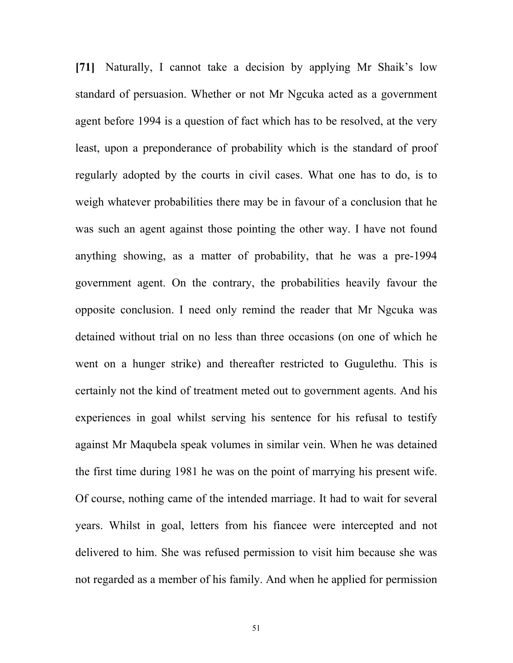**[71]** Naturally, I cannot take a decision by applying Mr Shaik's low standard of persuasion. Whether or not Mr Ngcuka acted as a government agent before 1994 is a question of fact which has to be resolved, at the very least, upon a preponderance of probability which is the standard of proof regularly adopted by the courts in civil cases. What one has to do, is to weigh whatever probabilities there may be in favour of a conclusion that he was such an agent against those pointing the other way. I have not found anything showing, as a matter of probability, that he was a pre-1994 government agent. On the contrary, the probabilities heavily favour the opposite conclusion. I need only remind the reader that Mr Ngcuka was detained without trial on no less than three occasions (on one of which he went on a hunger strike) and thereafter restricted to Gugulethu. This is certainly not the kind of treatment meted out to government agents. And his experiences in goal whilst serving his sentence for his refusal to testify against Mr Maqubela speak volumes in similar vein. When he was detained the first time during 1981 he was on the point of marrying his present wife. Of course, nothing came of the intended marriage. It had to wait for several years. Whilst in goal, letters from his fiancee were intercepted and not delivered to him. She was refused permission to visit him because she was not regarded as a member of his family. And when he applied for permission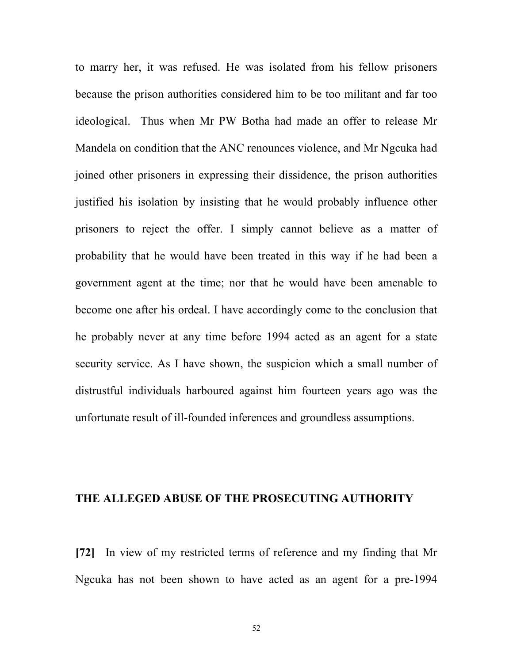to marry her, it was refused. He was isolated from his fellow prisoners because the prison authorities considered him to be too militant and far too ideological. Thus when Mr PW Botha had made an offer to release Mr Mandela on condition that the ANC renounces violence, and Mr Ngcuka had joined other prisoners in expressing their dissidence, the prison authorities justified his isolation by insisting that he would probably influence other prisoners to reject the offer. I simply cannot believe as a matter of probability that he would have been treated in this way if he had been a government agent at the time; nor that he would have been amenable to become one after his ordeal. I have accordingly come to the conclusion that he probably never at any time before 1994 acted as an agent for a state security service. As I have shown, the suspicion which a small number of distrustful individuals harboured against him fourteen years ago was the unfortunate result of ill-founded inferences and groundless assumptions.

## **THE ALLEGED ABUSE OF THE PROSECUTING AUTHORITY**

**[72]** In view of my restricted terms of reference and my finding that Mr Ngcuka has not been shown to have acted as an agent for a pre-1994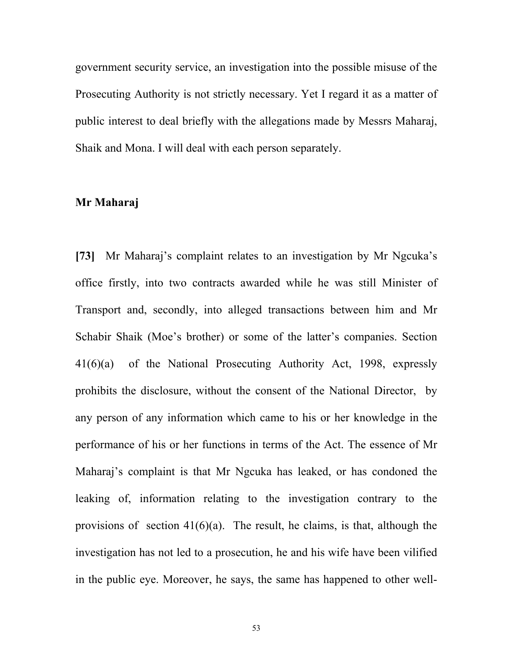government security service, an investigation into the possible misuse of the Prosecuting Authority is not strictly necessary. Yet I regard it as a matter of public interest to deal briefly with the allegations made by Messrs Maharaj, Shaik and Mona. I will deal with each person separately.

### **Mr Maharaj**

**[73]** Mr Maharaj's complaint relates to an investigation by Mr Ngcuka's office firstly, into two contracts awarded while he was still Minister of Transport and, secondly, into alleged transactions between him and Mr Schabir Shaik (Moe's brother) or some of the latter's companies. Section 41(6)(a) of the National Prosecuting Authority Act, 1998, expressly prohibits the disclosure, without the consent of the National Director, by any person of any information which came to his or her knowledge in the performance of his or her functions in terms of the Act. The essence of Mr Maharaj's complaint is that Mr Ngcuka has leaked, or has condoned the leaking of, information relating to the investigation contrary to the provisions of section  $41(6)(a)$ . The result, he claims, is that, although the investigation has not led to a prosecution, he and his wife have been vilified in the public eye. Moreover, he says, the same has happened to other well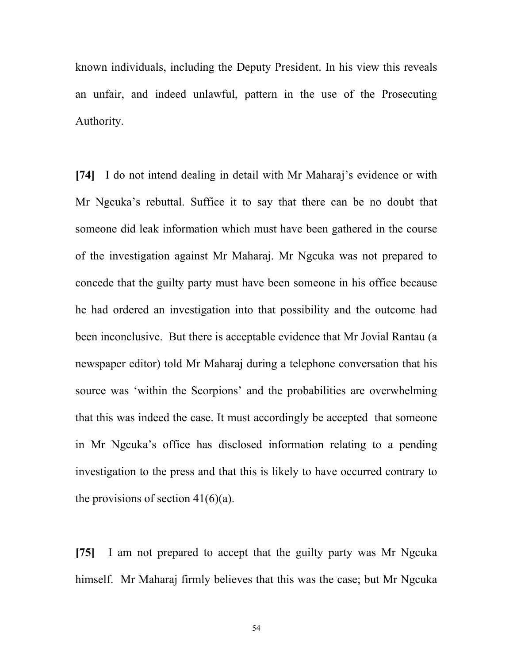known individuals, including the Deputy President. In his view this reveals an unfair, and indeed unlawful, pattern in the use of the Prosecuting Authority.

**[74]** I do not intend dealing in detail with Mr Maharaj's evidence or with Mr Ngcuka's rebuttal. Suffice it to say that there can be no doubt that someone did leak information which must have been gathered in the course of the investigation against Mr Maharaj. Mr Ngcuka was not prepared to concede that the guilty party must have been someone in his office because he had ordered an investigation into that possibility and the outcome had been inconclusive. But there is acceptable evidence that Mr Jovial Rantau (a newspaper editor) told Mr Maharaj during a telephone conversation that his source was 'within the Scorpions' and the probabilities are overwhelming that this was indeed the case. It must accordingly be accepted that someone in Mr Ngcuka's office has disclosed information relating to a pending investigation to the press and that this is likely to have occurred contrary to the provisions of section  $41(6)(a)$ .

**[75]** I am not prepared to accept that the guilty party was Mr Ngcuka himself. Mr Maharaj firmly believes that this was the case; but Mr Ngcuka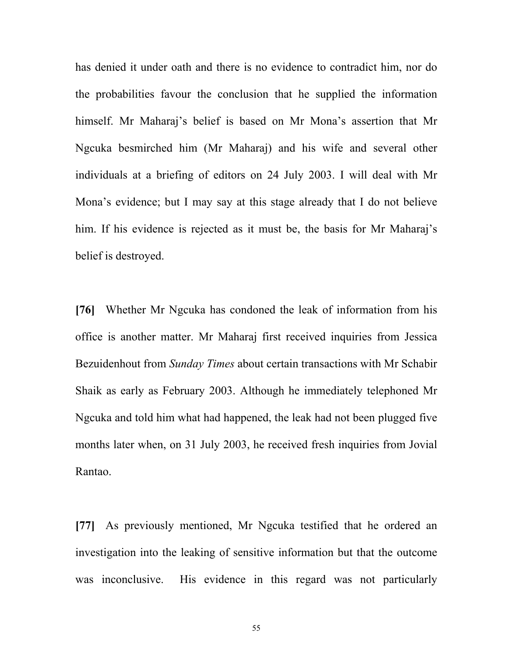has denied it under oath and there is no evidence to contradict him, nor do the probabilities favour the conclusion that he supplied the information himself. Mr Maharaj's belief is based on Mr Mona's assertion that Mr Ngcuka besmirched him (Mr Maharaj) and his wife and several other individuals at a briefing of editors on 24 July 2003. I will deal with Mr Mona's evidence; but I may say at this stage already that I do not believe him. If his evidence is rejected as it must be, the basis for Mr Maharaj's belief is destroyed.

**[76]** Whether Mr Ngcuka has condoned the leak of information from his office is another matter. Mr Maharaj first received inquiries from Jessica Bezuidenhout from *Sunday Times* about certain transactions with Mr Schabir Shaik as early as February 2003. Although he immediately telephoned Mr Ngcuka and told him what had happened, the leak had not been plugged five months later when, on 31 July 2003, he received fresh inquiries from Jovial Rantao.

**[77]** As previously mentioned, Mr Ngcuka testified that he ordered an investigation into the leaking of sensitive information but that the outcome was inconclusive. His evidence in this regard was not particularly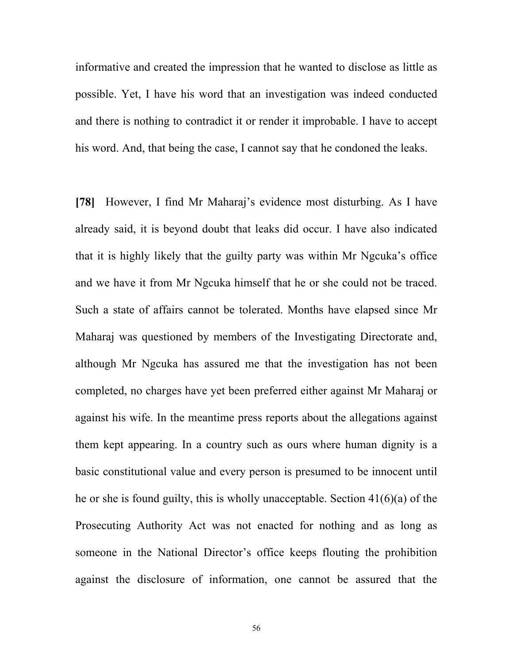informative and created the impression that he wanted to disclose as little as possible. Yet, I have his word that an investigation was indeed conducted and there is nothing to contradict it or render it improbable. I have to accept his word. And, that being the case, I cannot say that he condoned the leaks.

**[78]** However, I find Mr Maharaj's evidence most disturbing. As I have already said, it is beyond doubt that leaks did occur. I have also indicated that it is highly likely that the guilty party was within Mr Ngcuka's office and we have it from Mr Ngcuka himself that he or she could not be traced. Such a state of affairs cannot be tolerated. Months have elapsed since Mr Maharaj was questioned by members of the Investigating Directorate and, although Mr Ngcuka has assured me that the investigation has not been completed, no charges have yet been preferred either against Mr Maharaj or against his wife. In the meantime press reports about the allegations against them kept appearing. In a country such as ours where human dignity is a basic constitutional value and every person is presumed to be innocent until he or she is found guilty, this is wholly unacceptable. Section 41(6)(a) of the Prosecuting Authority Act was not enacted for nothing and as long as someone in the National Director's office keeps flouting the prohibition against the disclosure of information, one cannot be assured that the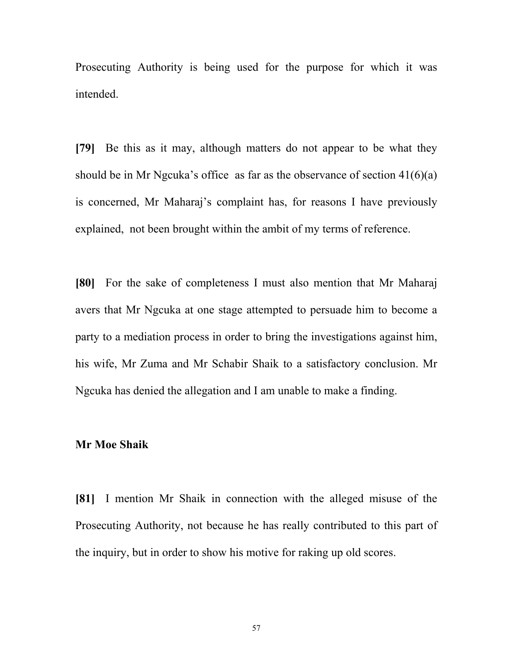Prosecuting Authority is being used for the purpose for which it was intended.

**[79]** Be this as it may, although matters do not appear to be what they should be in Mr Ngcuka's office as far as the observance of section  $41(6)(a)$ is concerned, Mr Maharaj's complaint has, for reasons I have previously explained, not been brought within the ambit of my terms of reference.

**[80]** For the sake of completeness I must also mention that Mr Maharaj avers that Mr Ngcuka at one stage attempted to persuade him to become a party to a mediation process in order to bring the investigations against him, his wife, Mr Zuma and Mr Schabir Shaik to a satisfactory conclusion. Mr Ngcuka has denied the allegation and I am unable to make a finding.

## **Mr Moe Shaik**

**[81]** I mention Mr Shaik in connection with the alleged misuse of the Prosecuting Authority, not because he has really contributed to this part of the inquiry, but in order to show his motive for raking up old scores.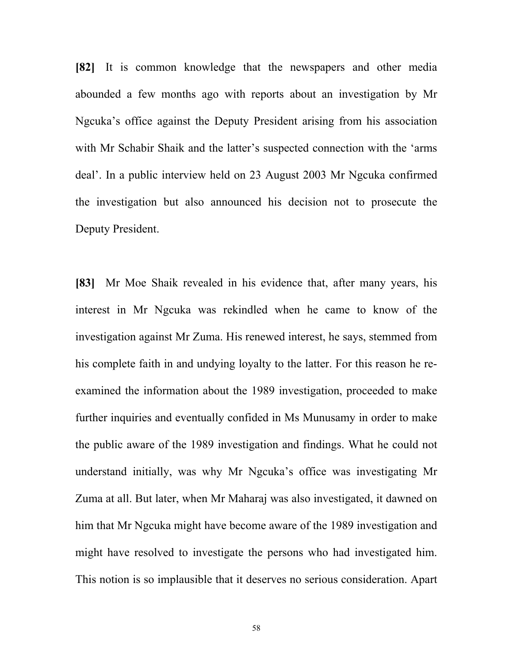**[82]** It is common knowledge that the newspapers and other media abounded a few months ago with reports about an investigation by Mr Ngcuka's office against the Deputy President arising from his association with Mr Schabir Shaik and the latter's suspected connection with the 'arms deal'. In a public interview held on 23 August 2003 Mr Ngcuka confirmed the investigation but also announced his decision not to prosecute the Deputy President.

**[83]** Mr Moe Shaik revealed in his evidence that, after many years, his interest in Mr Ngcuka was rekindled when he came to know of the investigation against Mr Zuma. His renewed interest, he says, stemmed from his complete faith in and undying loyalty to the latter. For this reason he reexamined the information about the 1989 investigation, proceeded to make further inquiries and eventually confided in Ms Munusamy in order to make the public aware of the 1989 investigation and findings. What he could not understand initially, was why Mr Ngcuka's office was investigating Mr Zuma at all. But later, when Mr Maharaj was also investigated, it dawned on him that Mr Ngcuka might have become aware of the 1989 investigation and might have resolved to investigate the persons who had investigated him. This notion is so implausible that it deserves no serious consideration. Apart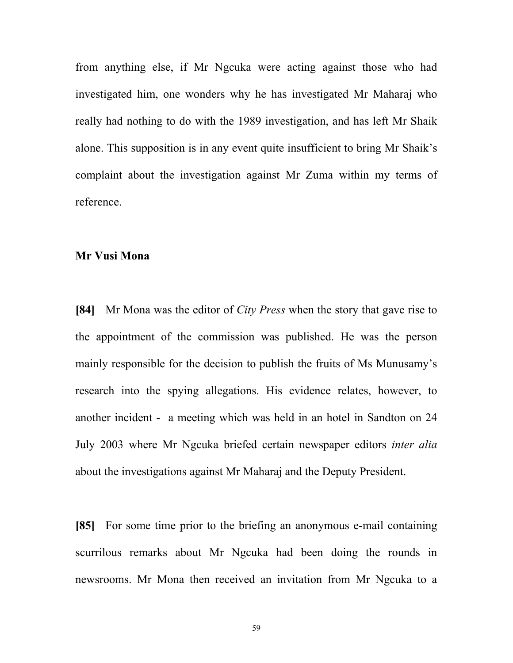from anything else, if Mr Ngcuka were acting against those who had investigated him, one wonders why he has investigated Mr Maharaj who really had nothing to do with the 1989 investigation, and has left Mr Shaik alone. This supposition is in any event quite insufficient to bring Mr Shaik's complaint about the investigation against Mr Zuma within my terms of reference.

## **Mr Vusi Mona**

**[84]** Mr Mona was the editor of *City Press* when the story that gave rise to the appointment of the commission was published. He was the person mainly responsible for the decision to publish the fruits of Ms Munusamy's research into the spying allegations. His evidence relates, however, to another incident - a meeting which was held in an hotel in Sandton on 24 July 2003 where Mr Ngcuka briefed certain newspaper editors *inter alia* about the investigations against Mr Maharaj and the Deputy President.

**[85]** For some time prior to the briefing an anonymous e-mail containing scurrilous remarks about Mr Ngcuka had been doing the rounds in newsrooms. Mr Mona then received an invitation from Mr Ngcuka to a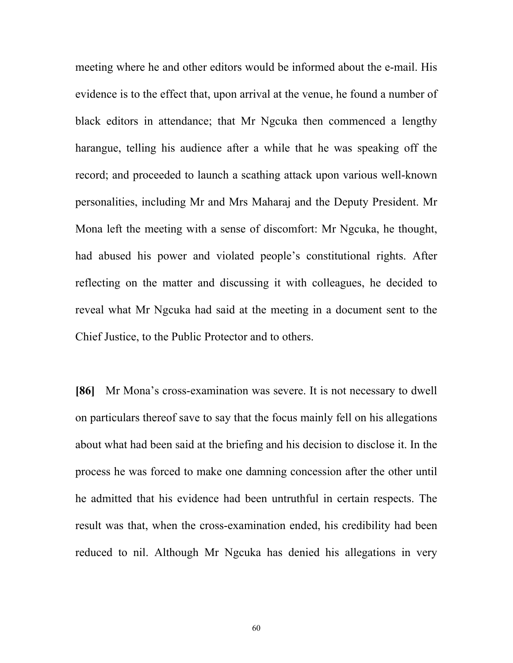meeting where he and other editors would be informed about the e-mail. His evidence is to the effect that, upon arrival at the venue, he found a number of black editors in attendance; that Mr Ngcuka then commenced a lengthy harangue, telling his audience after a while that he was speaking off the record; and proceeded to launch a scathing attack upon various well-known personalities, including Mr and Mrs Maharaj and the Deputy President. Mr Mona left the meeting with a sense of discomfort: Mr Ngcuka, he thought, had abused his power and violated people's constitutional rights. After reflecting on the matter and discussing it with colleagues, he decided to reveal what Mr Ngcuka had said at the meeting in a document sent to the Chief Justice, to the Public Protector and to others.

**[86]** Mr Mona's cross-examination was severe. It is not necessary to dwell on particulars thereof save to say that the focus mainly fell on his allegations about what had been said at the briefing and his decision to disclose it. In the process he was forced to make one damning concession after the other until he admitted that his evidence had been untruthful in certain respects. The result was that, when the cross-examination ended, his credibility had been reduced to nil. Although Mr Ngcuka has denied his allegations in very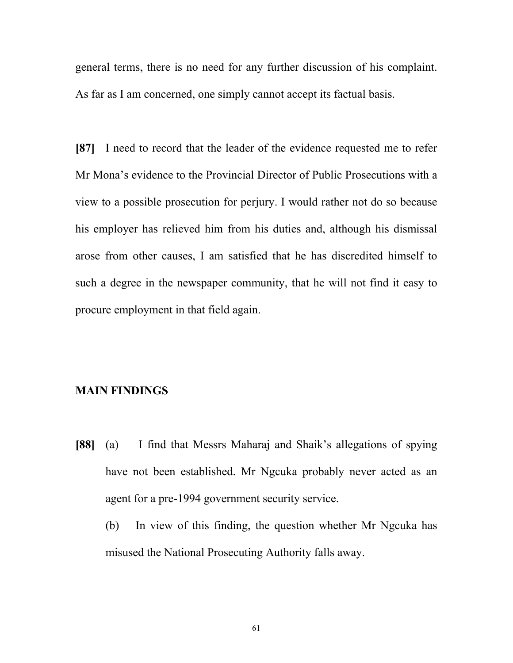general terms, there is no need for any further discussion of his complaint. As far as I am concerned, one simply cannot accept its factual basis.

**[87]** I need to record that the leader of the evidence requested me to refer Mr Mona's evidence to the Provincial Director of Public Prosecutions with a view to a possible prosecution for perjury. I would rather not do so because his employer has relieved him from his duties and, although his dismissal arose from other causes, I am satisfied that he has discredited himself to such a degree in the newspaper community, that he will not find it easy to procure employment in that field again.

## **MAIN FINDINGS**

- **[88]** (a) I find that Messrs Maharaj and Shaik's allegations of spying have not been established. Mr Ngcuka probably never acted as an agent for a pre-1994 government security service.
	- (b) In view of this finding, the question whether Mr Ngcuka has misused the National Prosecuting Authority falls away.